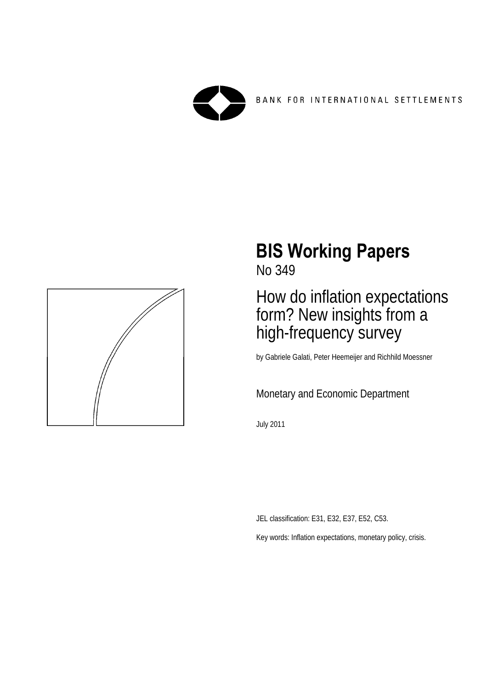



# **BIS Working Papers**

No 349

# How do inflation expectations form? New insights from a high-frequency survey

by Gabriele Galati, Peter Heemeijer and Richhild Moessner

Monetary and Economic Department

July 2011

JEL classification: E31, E32, E37, E52, C53.

Key words: Inflation expectations, monetary policy, crisis.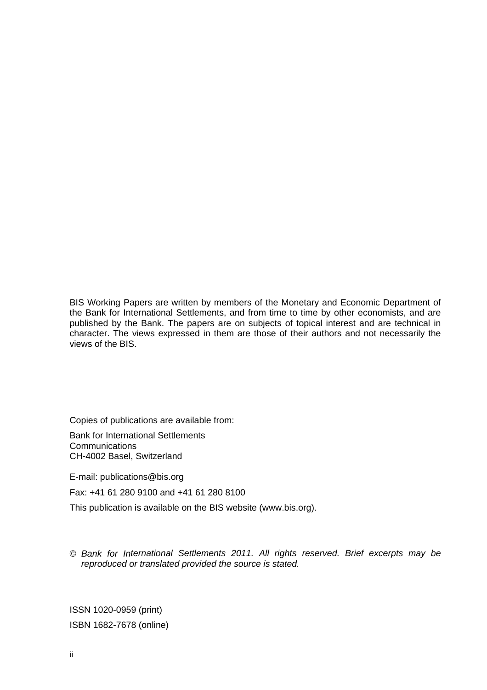BIS Working Papers are written by members of the Monetary and Economic Department of the Bank for International Settlements, and from time to time by other economists, and are published by the Bank. The papers are on subjects of topical interest and are technical in character. The views expressed in them are those of their authors and not necessarily the views of the BIS.

Copies of publications are available from:

Bank for International Settlements **Communications** CH-4002 Basel, Switzerland

E-mail: publications@bis.org

Fax: +41 61 280 9100 and +41 61 280 8100

This publication is available on the BIS website [\(www.bis.org](http://www.bis.org/)).

© *Bank for International Settlements 2011. All rights reserved. Brief excerpts may be reproduced or translated provided the source is stated.*

ISSN 1020-0959 (print) ISBN 1682-7678 (online)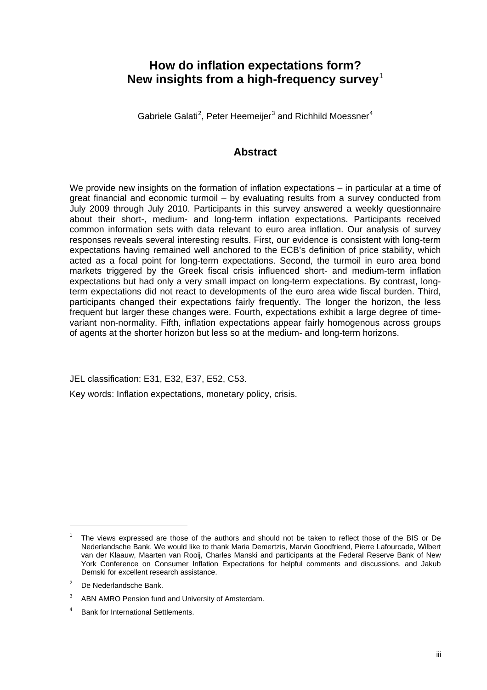# **How do inflation expectations form? New insights from a high-frequency survey**[1](#page-2-0)

Gabriele Galati<sup>[2](#page-2-1)</sup>, Peter Heemeijer<sup>[3](#page-2-2)</sup> and Richhild Moessner<sup>[4](#page-2-3)</sup>

# **Abstract**

We provide new insights on the formation of inflation expectations – in particular at a time of great financial and economic turmoil – by evaluating results from a survey conducted from July 2009 through July 2010. Participants in this survey answered a weekly questionnaire about their short-, medium- and long-term inflation expectations. Participants received common information sets with data relevant to euro area inflation. Our analysis of survey responses reveals several interesting results. First, our evidence is consistent with long-term expectations having remained well anchored to the ECB's definition of price stability, which acted as a focal point for long-term expectations. Second, the turmoil in euro area bond markets triggered by the Greek fiscal crisis influenced short- and medium-term inflation expectations but had only a very small impact on long-term expectations. By contrast, longterm expectations did not react to developments of the euro area wide fiscal burden. Third, participants changed their expectations fairly frequently. The longer the horizon, the less frequent but larger these changes were. Fourth, expectations exhibit a large degree of timevariant non-normality. Fifth, inflation expectations appear fairly homogenous across groups of agents at the shorter horizon but less so at the medium- and long-term horizons.

JEL classification: E31, E32, E37, E52, C53.

Key words: Inflation expectations, monetary policy, crisis.

 $\overline{a}$ 

<span id="page-2-0"></span><sup>1</sup> The views expressed are those of the authors and should not be taken to reflect those of the BIS or De Nederlandsche Bank. We would like to thank Maria Demertzis, Marvin Goodfriend, Pierre Lafourcade, Wilbert van der Klaauw, Maarten van Rooij, Charles Manski and participants at the Federal Reserve Bank of New York Conference on Consumer Inflation Expectations for helpful comments and discussions, and Jakub Demski for excellent research assistance.

<span id="page-2-1"></span> $\overline{2}$ De Nederlandsche Bank.

<span id="page-2-2"></span><sup>3</sup> ABN AMRO Pension fund and University of Amsterdam.

<span id="page-2-3"></span><sup>4</sup> Bank for International Settlements.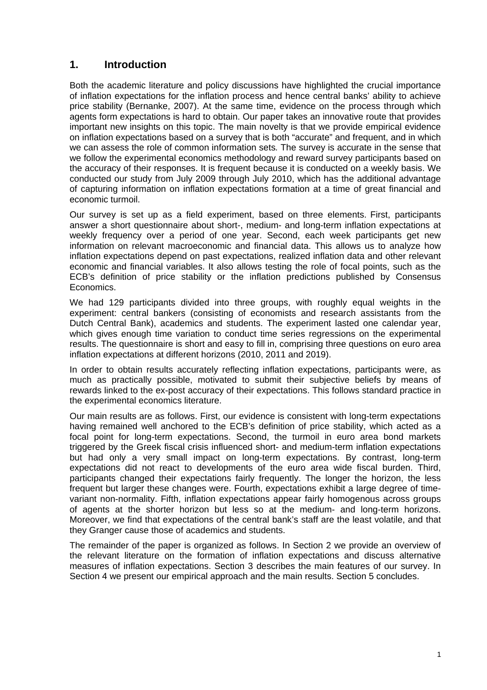# **1. Introduction**

Both the academic literature and policy discussions have highlighted the crucial importance of inflation expectations for the inflation process and hence central banks' ability to achieve price stability (Bernanke, 2007). At the same time, evidence on the process through which agents form expectations is hard to obtain. Our paper takes an innovative route that provides important new insights on this topic. The main novelty is that we provide empirical evidence on inflation expectations based on a survey that is both "accurate" and frequent, and in which we can assess the role of common information sets*.* The survey is accurate in the sense that we follow the experimental economics methodology and reward survey participants based on the accuracy of their responses. It is frequent because it is conducted on a weekly basis. We conducted our study from July 2009 through July 2010, which has the additional advantage of capturing information on inflation expectations formation at a time of great financial and economic turmoil.

Our survey is set up as a field experiment, based on three elements. First, participants answer a short questionnaire about short-, medium- and long-term inflation expectations at weekly frequency over a period of one year. Second, each week participants get new information on relevant macroeconomic and financial data. This allows us to analyze how inflation expectations depend on past expectations, realized inflation data and other relevant economic and financial variables. It also allows testing the role of focal points, such as the ECB's definition of price stability or the inflation predictions published by Consensus Economics.

We had 129 participants divided into three groups, with roughly equal weights in the experiment: central bankers (consisting of economists and research assistants from the Dutch Central Bank), academics and students. The experiment lasted one calendar year, which gives enough time variation to conduct time series regressions on the experimental results. The questionnaire is short and easy to fill in, comprising three questions on euro area inflation expectations at different horizons (2010, 2011 and 2019).

In order to obtain results accurately reflecting inflation expectations, participants were, as much as practically possible, motivated to submit their subjective beliefs by means of rewards linked to the ex-post accuracy of their expectations. This follows standard practice in the experimental economics literature.

Our main results are as follows. First, our evidence is consistent with long-term expectations having remained well anchored to the ECB's definition of price stability, which acted as a focal point for long-term expectations. Second, the turmoil in euro area bond markets triggered by the Greek fiscal crisis influenced short- and medium-term inflation expectations but had only a very small impact on long-term expectations. By contrast, long-term expectations did not react to developments of the euro area wide fiscal burden. Third, participants changed their expectations fairly frequently. The longer the horizon, the less frequent but larger these changes were. Fourth, expectations exhibit a large degree of timevariant non-normality. Fifth, inflation expectations appear fairly homogenous across groups of agents at the shorter horizon but less so at the medium- and long-term horizons. Moreover, we find that expectations of the central bank's staff are the least volatile, and that they Granger cause those of academics and students.

The remainder of the paper is organized as follows. In Section 2 we provide an overview of the relevant literature on the formation of inflation expectations and discuss alternative measures of inflation expectations. Section 3 describes the main features of our survey. In Section 4 we present our empirical approach and the main results. Section 5 concludes.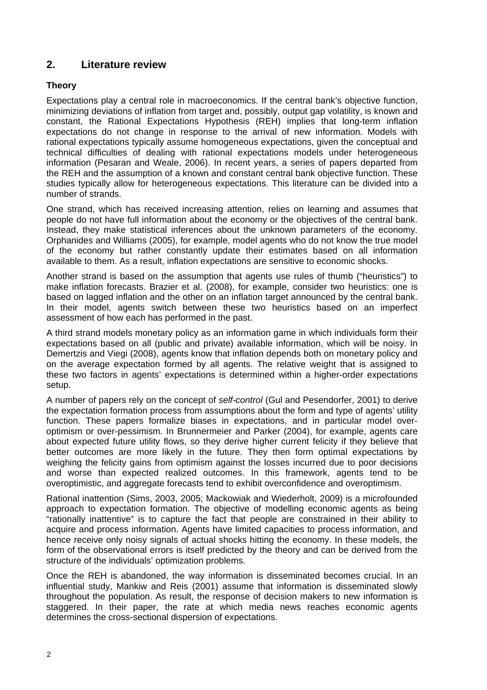# **2. Literature review**

## **Theory**

Expectations play a central role in macroeconomics. If the central bank's objective function, minimizing deviations of inflation from target and, possibly, output gap volatility, is known and constant, the Rational Expectations Hypothesis (REH) implies that long-term inflation expectations do not change in response to the arrival of new information. Models with rational expectations typically assume homogeneous expectations, given the conceptual and technical difficulties of dealing with rational expectations models under heterogeneous information (Pesaran and Weale, 2006). In recent years, a series of papers departed from the REH and the assumption of a known and constant central bank objective function. These studies typically allow for heterogeneous expectations. This literature can be divided into a number of strands.

One strand, which has received increasing attention, relies on learning and assumes that people do not have full information about the economy or the objectives of the central bank. Instead, they make statistical inferences about the unknown parameters of the economy. Orphanides and Williams (2005), for example, model agents who do not know the true model of the economy but rather constantly update their estimates based on all information available to them. As a result, inflation expectations are sensitive to economic shocks.

Another strand is based on the assumption that agents use rules of thumb ("heuristics") to make inflation forecasts. Brazier et al. (2008), for example, consider two heuristics: one is based on lagged inflation and the other on an inflation target announced by the central bank. In their model, agents switch between these two heuristics based on an imperfect assessment of how each has performed in the past.

A third strand models monetary policy as an information game in which individuals form their expectations based on all (public and private) available information, which will be noisy. In Demertzis and Viegi (2008), agents know that inflation depends both on monetary policy and on the average expectation formed by all agents. The relative weight that is assigned to these two factors in agents' expectations is determined within a higher-order expectations setup.

A number of papers rely on the concept of *self-control* (Gul and Pesendorfer, 2001) to derive the expectation formation process from assumptions about the form and type of agents' utility function. These papers formalize biases in expectations, and in particular model overoptimism or over-pessimism. In Brunnermeier and Parker (2004), for example, agents care about expected future utility flows, so they derive higher current felicity if they believe that better outcomes are more likely in the future. They then form optimal expectations by weighing the felicity gains from optimism against the losses incurred due to poor decisions and worse than expected realized outcomes. In this framework, agents tend to be overoptimistic, and aggregate forecasts tend to exhibit overconfidence and overoptimism.

Rational inattention (Sims, 2003, 2005; Mackowiak and Wiederholt, 2009) is a microfounded approach to expectation formation. The objective of modelling economic agents as being "rationally inattentive" is to capture the fact that people are constrained in their ability to acquire and process information. Agents have limited capacities to process information, and hence receive only noisy signals of actual shocks hitting the economy. In these models, the form of the observational errors is itself predicted by the theory and can be derived from the structure of the individuals' optimization problems.

Once the REH is abandoned, the way information is disseminated becomes crucial. In an influential study, Mankiw and Reis (2001) assume that information is disseminated slowly throughout the population. As result, the response of decision makers to new information is staggered. In their paper, the rate at which media news reaches economic agents determines the cross-sectional dispersion of expectations.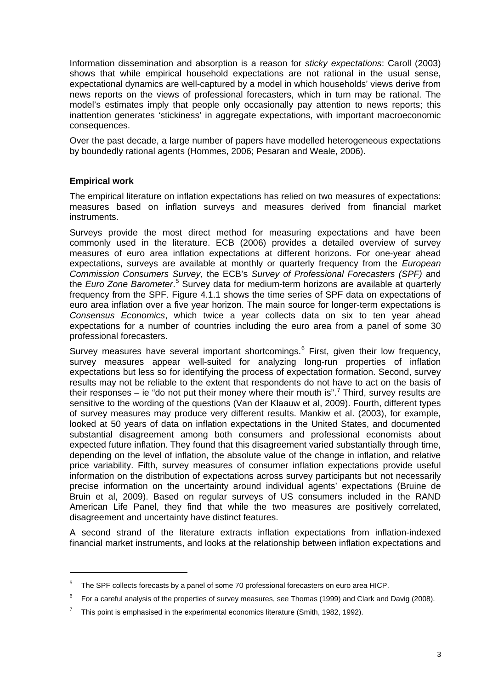Information dissemination and absorption is a reason for *sticky expectations*: Caroll (2003) shows that while empirical household expectations are not rational in the usual sense, expectational dynamics are well-captured by a model in which households' views derive from news reports on the views of professional forecasters, which in turn may be rational. The model's estimates imply that people only occasionally pay attention to news reports; this inattention generates 'stickiness' in aggregate expectations, with important macroeconomic consequences.

Over the past decade, a large number of papers have modelled heterogeneous expectations by boundedly rational agents (Hommes, 2006; Pesaran and Weale, 2006).

#### **Empirical work**

The empirical literature on inflation expectations has relied on two measures of expectations: measures based on inflation surveys and measures derived from financial market instruments.

Surveys provide the most direct method for measuring expectations and have been commonly used in the literature. ECB (2006) provides a detailed overview of survey measures of euro area inflation expectations at different horizons. For one-year ahead expectations, surveys are available at monthly or quarterly frequency from the *European Commission Consumers Survey*, the ECB's *Survey of Professional Forecasters (SPF)* and the *Euro Zone Barometer*.<sup>[5](#page-6-0)</sup> Survey data for medium-term horizons are available at quarterly frequency from the SPF. Figure 4.1.1 shows the time series of SPF data on expectations of euro area inflation over a five year horizon. The main source for longer-term expectations is *Consensus Economics*, which twice a year collects data on six to ten year ahead expectations for a number of countries including the euro area from a panel of some 30 professional forecasters.

Survey measures have several important shortcomings.<sup>[6](#page-6-1)</sup> First, given their low frequency, survey measures appear well-suited for analyzing long-run properties of inflation expectations but less so for identifying the process of expectation formation. Second, survey results may not be reliable to the extent that respondents do not have to act on the basis of their responses – ie "do not put their money where their mouth is".<sup>[7](#page-6-2)</sup> Third, survey results are sensitive to the wording of the questions (Van der Klaauw et al, 2009). Fourth, different types of survey measures may produce very different results. Mankiw et al. (2003), for example, looked at 50 years of data on inflation expectations in the United States, and documented substantial disagreement among both consumers and professional economists about expected future inflation. They found that this disagreement varied substantially through time, depending on the level of inflation, the absolute value of the change in inflation, and relative price variability. Fifth, survey measures of consumer inflation expectations provide useful information on the distribution of expectations across survey participants but not necessarily precise information on the uncertainty around individual agents' expectations (Bruine de Bruin et al, 2009). Based on regular surveys of US consumers included in the RAND American Life Panel, they find that while the two measures are positively correlated, disagreement and uncertainty have distinct features.

A second strand of the literature extracts inflation expectations from inflation-indexed financial market instruments, and looks at the relationship between inflation expectations and

<span id="page-6-0"></span><sup>5</sup> The SPF collects forecasts by a panel of some 70 professional forecasters on euro area HICP.

<span id="page-6-1"></span><sup>6</sup> For a careful analysis of the properties of survey measures, see Thomas (1999) and Clark and Davig (2008).

<span id="page-6-2"></span><sup>7</sup> This point is emphasised in the experimental economics literature (Smith, 1982, 1992).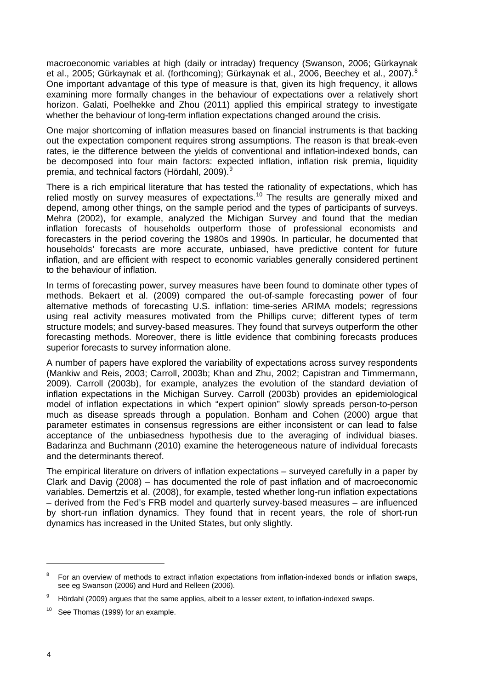macroeconomic variables at high (daily or intraday) frequency (Swanson, 2006; Gürkaynak et al., 2005; Gürkaynak et al. (forthcoming); Gürkaynak et al., 2006, Beechey et al., 2007).<sup>[8](#page-7-0)</sup> One important advantage of this type of measure is that, given its high frequency, it allows examining more formally changes in the behaviour of expectations over a relatively short horizon. Galati, Poelhekke and Zhou (2011) applied this empirical strategy to investigate whether the behaviour of long-term inflation expectations changed around the crisis.

One major shortcoming of inflation measures based on financial instruments is that backing out the expectation component requires strong assumptions. The reason is that break-even rates, ie the difference between the yields of conventional and inflation-indexed bonds, can be decomposed into four main factors: expected inflation, inflation risk premia, liquidity premia, and technical factors (Hördahl, 200[9](#page-7-1)). $^9$ 

There is a rich empirical literature that has tested the rationality of expectations, which has relied mostly on survey measures of expectations.<sup>10</sup> The results are generally mixed and depend, among other things, on the sample period and the types of participants of surveys. Mehra (2002), for example, analyzed the Michigan Survey and found that the median inflation forecasts of households outperform those of professional economists and forecasters in the period covering the 1980s and 1990s. In particular, he documented that households' forecasts are more accurate, unbiased, have predictive content for future inflation, and are efficient with respect to economic variables generally considered pertinent to the behaviour of inflation.

In terms of forecasting power, survey measures have been found to dominate other types of methods. Bekaert et al. (2009) compared the out-of-sample forecasting power of four alternative methods of forecasting U.S. inflation: time-series ARIMA models; regressions using real activity measures motivated from the Phillips curve; different types of term structure models; and survey-based measures. They found that surveys outperform the other forecasting methods. Moreover, there is little evidence that combining forecasts produces superior forecasts to survey information alone.

A number of papers have explored the variability of expectations across survey respondents (Mankiw and Reis, 2003; Carroll, 2003b; Khan and Zhu, 2002; Capistran and Timmermann, 2009). Carroll (2003b), for example, analyzes the evolution of the standard deviation of inflation expectations in the Michigan Survey. Carroll (2003b) provides an epidemiological model of inflation expectations in which "expert opinion" slowly spreads person-to-person much as disease spreads through a population. Bonham and Cohen (2000) argue that parameter estimates in consensus regressions are either inconsistent or can lead to false acceptance of the unbiasedness hypothesis due to the averaging of individual biases. Badarinza and Buchmann (2010) examine the heterogeneous nature of individual forecasts and the determinants thereof.

The empirical literature on drivers of inflation expectations – surveyed carefully in a paper by Clark and Davig (2008) – has documented the role of past inflation and of macroeconomic variables. Demertzis et al. (2008), for example, tested whether long-run inflation expectations – derived from the Fed's FRB model and quarterly survey-based measures – are influenced by short-run inflation dynamics. They found that in recent years, the role of short-run dynamics has increased in the United States, but only slightly.

<span id="page-7-0"></span><sup>8</sup> For an overview of methods to extract inflation expectations from inflation-indexed bonds or inflation swaps, see eg Swanson (2006) and Hurd and Relleen (2006).

<span id="page-7-1"></span><sup>9</sup> Hördahl (2009) argues that the same applies, albeit to a lesser extent, to inflation-indexed swaps.

<span id="page-7-2"></span><sup>&</sup>lt;sup>10</sup> See Thomas (1999) for an example.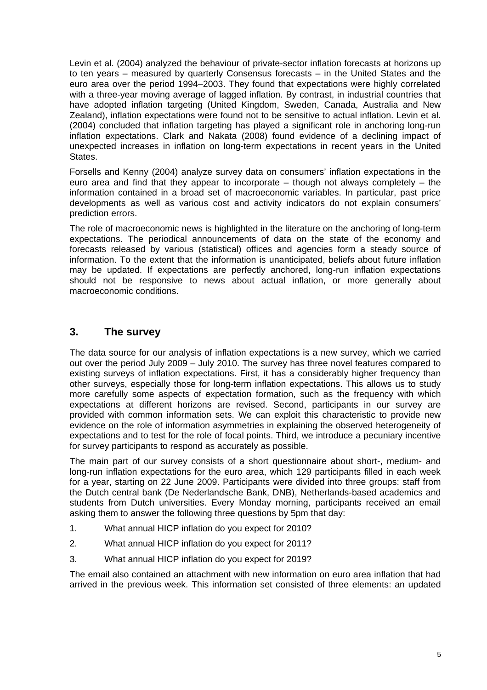Levin et al. (2004) analyzed the behaviour of private-sector inflation forecasts at horizons up to ten years – measured by quarterly Consensus forecasts – in the United States and the euro area over the period 1994–2003. They found that expectations were highly correlated with a three-year moving average of lagged inflation. By contrast, in industrial countries that have adopted inflation targeting (United Kingdom, Sweden, Canada, Australia and New Zealand), inflation expectations were found not to be sensitive to actual inflation. Levin et al. (2004) concluded that inflation targeting has played a significant role in anchoring long-run inflation expectations. Clark and Nakata (2008) found evidence of a declining impact of unexpected increases in inflation on long-term expectations in recent years in the United States.

Forsells and Kenny (2004) analyze survey data on consumers' inflation expectations in the euro area and find that they appear to incorporate – though not always completely – the information contained in a broad set of macroeconomic variables. In particular, past price developments as well as various cost and activity indicators do not explain consumers' prediction errors.

The role of macroeconomic news is highlighted in the literature on the anchoring of long-term expectations. The periodical announcements of data on the state of the economy and forecasts released by various (statistical) offices and agencies form a steady source of information. To the extent that the information is unanticipated, beliefs about future inflation may be updated. If expectations are perfectly anchored, long-run inflation expectations should not be responsive to news about actual inflation, or more generally about macroeconomic conditions.

# **3. The survey**

The data source for our analysis of inflation expectations is a new survey, which we carried out over the period July 2009 – July 2010. The survey has three novel features compared to existing surveys of inflation expectations. First, it has a considerably higher frequency than other surveys, especially those for long-term inflation expectations. This allows us to study more carefully some aspects of expectation formation, such as the frequency with which expectations at different horizons are revised. Second, participants in our survey are provided with common information sets. We can exploit this characteristic to provide new evidence on the role of information asymmetries in explaining the observed heterogeneity of expectations and to test for the role of focal points. Third, we introduce a pecuniary incentive for survey participants to respond as accurately as possible.

The main part of our survey consists of a short questionnaire about short-, medium- and long-run inflation expectations for the euro area, which 129 participants filled in each week for a year, starting on 22 June 2009. Participants were divided into three groups: staff from the Dutch central bank (De Nederlandsche Bank, DNB), Netherlands-based academics and students from Dutch universities. Every Monday morning, participants received an email asking them to answer the following three questions by 5pm that day:

- 1. What annual HICP inflation do you expect for 2010?
- 2. What annual HICP inflation do you expect for 2011?
- 3. What annual HICP inflation do you expect for 2019?

The email also contained an attachment with new information on euro area inflation that had arrived in the previous week. This information set consisted of three elements: an updated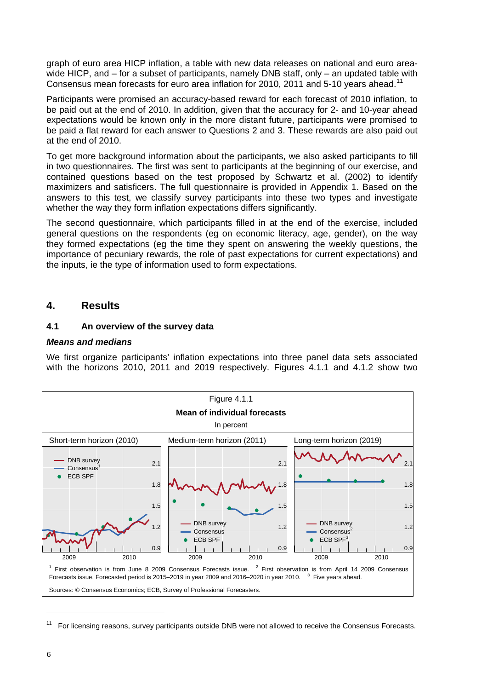graph of euro area HICP inflation, a table with new data releases on national and euro areawide HICP, and – for a subset of participants, namely DNB staff, only – an updated table with Consensus mean forecasts for euro area inflation for 2010, 20[11](#page-9-0) and 5-10 years ahead.<sup>11</sup>

Participants were promised an accuracy-based reward for each forecast of 2010 inflation, to be paid out at the end of 2010. In addition, given that the accuracy for 2- and 10-year ahead expectations would be known only in the more distant future, participants were promised to be paid a flat reward for each answer to Questions 2 and 3. These rewards are also paid out at the end of 2010.

To get more background information about the participants, we also asked participants to fill in two questionnaires. The first was sent to participants at the beginning of our exercise, and contained questions based on the test proposed by Schwartz et al. (2002) to identify maximizers and satisficers. The full questionnaire is provided in Appendix 1. Based on the answers to this test, we classify survey participants into these two types and investigate whether the way they form inflation expectations differs significantly.

The second questionnaire, which participants filled in at the end of the exercise, included general questions on the respondents (eg on economic literacy, age, gender), on the way they formed expectations (eg the time they spent on answering the weekly questions, the importance of pecuniary rewards, the role of past expectations for current expectations) and the inputs, ie the type of information used to form expectations.

## **4. Results**

#### **4.1 An overview of the survey data**

#### *Means and medians*

We first organize participants' inflation expectations into three panel data sets associated with the horizons 2010, 2011 and 2019 respectively. Figures 4.1.1 and 4.1.2 show two



<span id="page-9-0"></span><sup>&</sup>lt;sup>11</sup> For licensing reasons, survey participants outside DNB were not allowed to receive the Consensus Forecasts.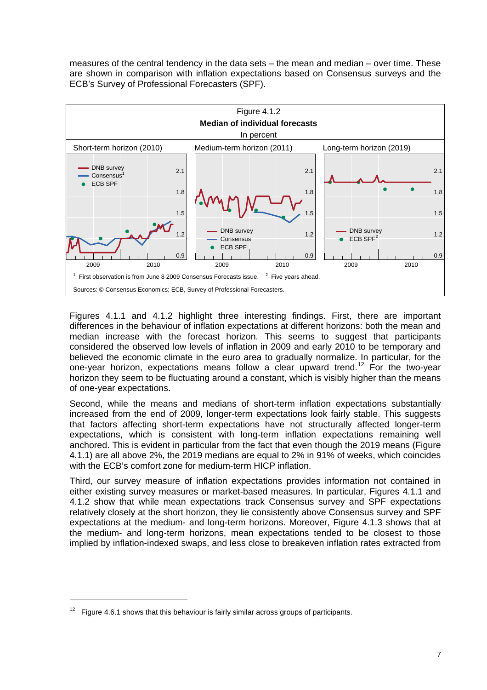measures of the central tendency in the data sets – the mean and median – over time. These are shown in comparison with inflation expectations based on Consensus surveys and the ECB's Survey of Professional Forecasters (SPF).



Figures 4.1.1 and 4.1.2 highlight three interesting findings. First, there are important differences in the behaviour of inflation expectations at different horizons: both the mean and median increase with the forecast horizon. This seems to suggest that participants considered the observed low levels of inflation in 2009 and early 2010 to be temporary and believed the economic climate in the euro area to gradually normalize. In particular, for the one-year horizon, expectations means follow a clear upward trend.<sup>[12](#page-10-0)</sup> For the two-year horizon they seem to be fluctuating around a constant, which is visibly higher than the means of one-year expectations.

Second, while the means and medians of short-term inflation expectations substantially increased from the end of 2009, longer-term expectations look fairly stable. This suggests that factors affecting short-term expectations have not structurally affected longer-term expectations, which is consistent with long-term inflation expectations remaining well anchored. This is evident in particular from the fact that even though the 2019 means (Figure 4.1.1) are all above 2%, the 2019 medians are equal to 2% in 91% of weeks, which coincides with the ECB's comfort zone for medium-term HICP inflation.

Third, our survey measure of inflation expectations provides information not contained in either existing survey measures or market-based measures. In particular, Figures 4.1.1 and 4.1.2 show that while mean expectations track Consensus survey and SPF expectations relatively closely at the short horizon, they lie consistently above Consensus survey and SPF expectations at the medium- and long-term horizons. Moreover, Figure 4.1.3 shows that at the medium- and long-term horizons, mean expectations tended to be closest to those implied by inflation-indexed swaps, and less close to breakeven inflation rates extracted from

<span id="page-10-0"></span><sup>12</sup> Figure 4.6.1 shows that this behaviour is fairly similar across groups of participants.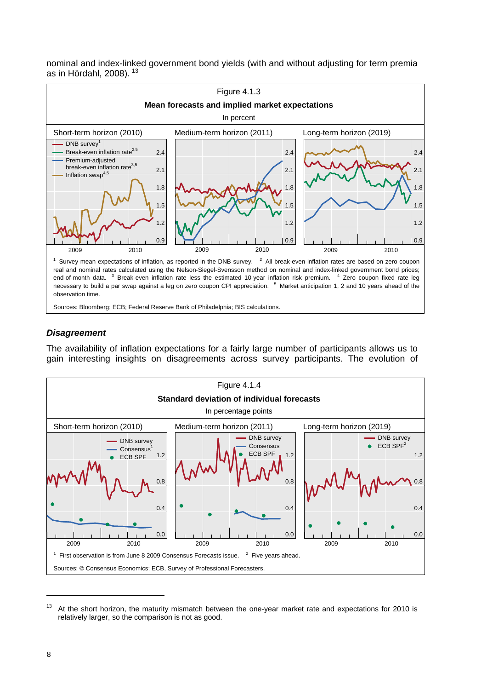nominal and index-linked government bond yields (with and without adjusting for term premia as in Hördahl, 2008).<sup>[13](#page-11-0)</sup>



#### *Disagreement*

The availability of inflation expectations for a fairly large number of participants allows us to gain interesting insights on disagreements across survey participants. The evolution of



<span id="page-11-0"></span><sup>&</sup>lt;sup>13</sup> At the short horizon, the maturity mismatch between the one-year market rate and expectations for 2010 is relatively larger, so the comparison is not as good.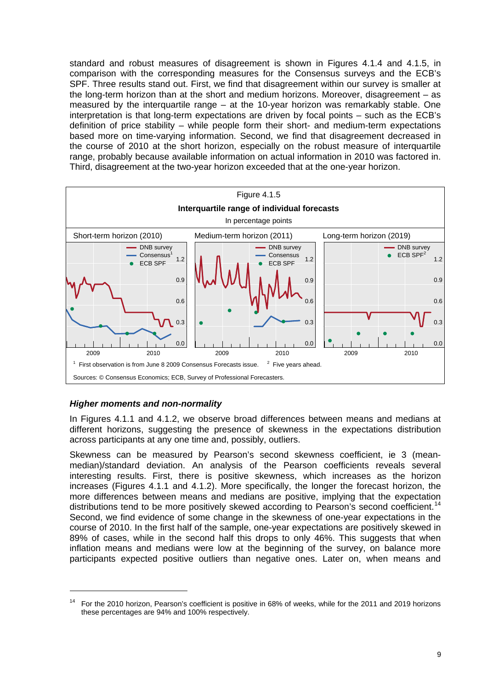standard and robust measures of disagreement is shown in Figures 4.1.4 and 4.1.5, in comparison with the corresponding measures for the Consensus surveys and the ECB's SPF. Three results stand out. First, we find that disagreement within our survey is smaller at the long-term horizon than at the short and medium horizons. Moreover, disagreement – as measured by the interquartile range – at the 10-year horizon was remarkably stable. One interpretation is that long-term expectations are driven by focal points – such as the ECB's definition of price stability – while people form their short- and medium-term expectations based more on time-varying information. Second, we find that disagreement decreased in the course of 2010 at the short horizon, especially on the robust measure of interquartile range, probably because available information on actual information in 2010 was factored in. Third, disagreement at the two-year horizon exceeded that at the one-year horizon.



#### *Higher moments and non-normality*

 $\overline{a}$ 

In Figures 4.1.1 and 4.1.2, we observe broad differences between means and medians at different horizons, suggesting the presence of skewness in the expectations distribution across participants at any one time and, possibly, outliers.

Skewness can be measured by Pearson's second skewness coefficient, ie 3 (meanmedian)/standard deviation. An analysis of the Pearson coefficients reveals several interesting results. First, there is positive skewness, which increases as the horizon increases (Figures 4.1.1 and 4.1.2). More specifically, the longer the forecast horizon, the more differences between means and medians are positive, implying that the expectation distributions tend to be more positively skewed according to Pearson's second coefficient.<sup>[14](#page-12-0)</sup> Second, we find evidence of some change in the skewness of one-year expectations in the course of 2010. In the first half of the sample, one-year expectations are positively skewed in 89% of cases, while in the second half this drops to only 46%. This suggests that when inflation means and medians were low at the beginning of the survey, on balance more participants expected positive outliers than negative ones. Later on, when means and

<span id="page-12-0"></span><sup>14</sup> For the 2010 horizon, Pearson's coefficient is positive in 68% of weeks, while for the 2011 and 2019 horizons these percentages are 94% and 100% respectively.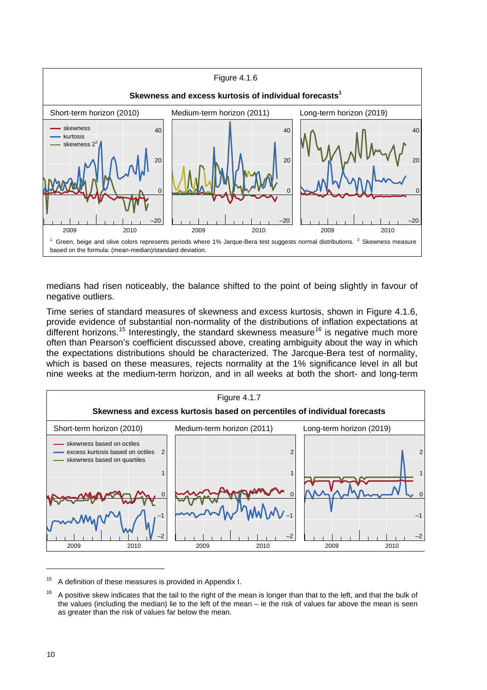

medians had risen noticeably, the balance shifted to the point of being slightly in favour of negative outliers.

Time series of standard measures of skewness and excess kurtosis, shown in Figure 4.1.6, provide evidence of substantial non-normality of the distributions of inflation expectations at different horizons.<sup>[15](#page-13-0)</sup> Interestingly, the standard skewness measure<sup>16</sup> is negative much more often than Pearson's coefficient discussed above, creating ambiguity about the way in which the expectations distributions should be characterized. The Jarcque-Bera test of normality, which is based on these measures, rejects normality at the 1% significance level in all but nine weeks at the medium-term horizon, and in all weeks at both the short- and long-term



<span id="page-13-0"></span><sup>&</sup>lt;sup>15</sup> A definition of these measures is provided in Appendix I.

<span id="page-13-1"></span><sup>16</sup> A positive skew indicates that the tail to the right of the mean is longer than that to the left, and that the bulk of the values (including the median) lie to the left of the mean – ie the risk of values far above the mean is seen as greater than the risk of values far below the mean.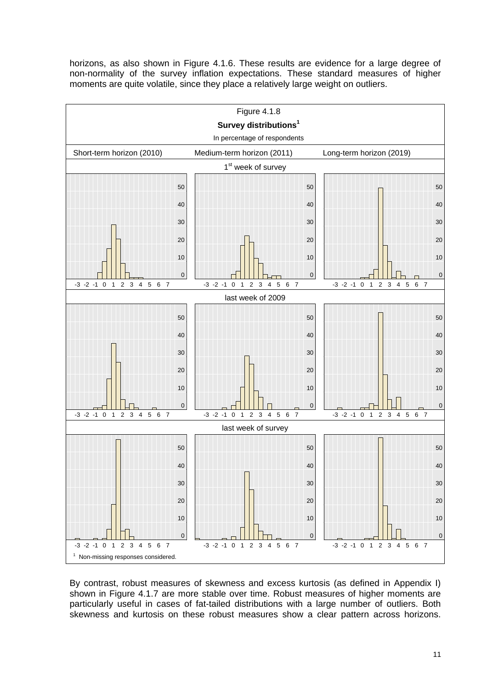horizons, as also shown in Figure 4.1.6. These results are evidence for a large degree of non-normality of the survey inflation expectations. These standard measures of higher moments are quite volatile, since they place a relatively large weight on outliers.



By contrast, robust measures of skewness and excess kurtosis (as defined in Appendix I) shown in Figure 4.1.7 are more stable over time. Robust measures of higher moments are particularly useful in cases of fat-tailed distributions with a large number of outliers. Both skewness and kurtosis on these robust measures show a clear pattern across horizons.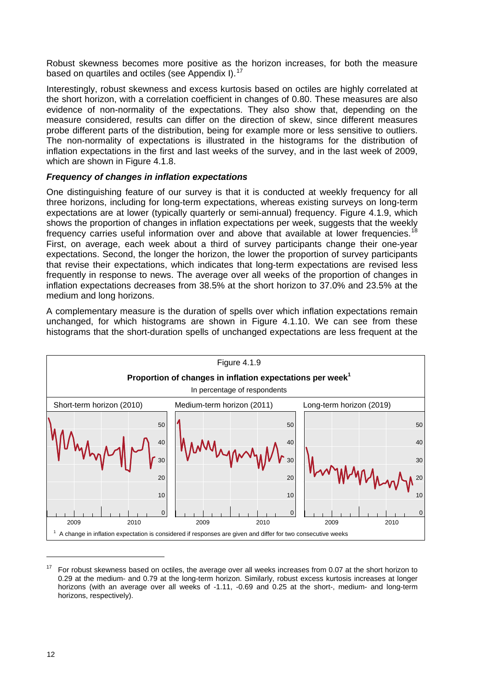Robust skewness becomes more positive as the horizon increases, for both the measure based on quartiles and octiles (see Appendix I).<sup>17</sup>

Interestingly, robust skewness and excess kurtosis based on octiles are highly correlated at the short horizon, with a correlation coefficient in changes of 0.80. These measures are also evidence of non-normality of the expectations. They also show that, depending on the measure considered, results can differ on the direction of skew, since different measures probe different parts of the distribution, being for example more or less sensitive to outliers. The non-normality of expectations is illustrated in the histograms for the distribution of inflation expectations in the first and last weeks of the survey, and in the last week of 2009, which are shown in Figure 4.1.8.

#### *Frequency of changes in inflation expectations*

One distinguishing feature of our survey is that it is conducted at weekly frequency for all three horizons, including for long-term expectations, whereas existing surveys on long-term expectations are at lower (typically quarterly or semi-annual) frequency. Figure 4.1.9, which shows the proportion of changes in inflation expectations per week, suggests that the weekly frequency carries useful information over and above that available at lower frequencies.<sup>[18](#page-15-1)</sup> First, on average, each week about a third of survey participants change their one-year expectations. Second, the longer the horizon, the lower the proportion of survey participants that revise their expectations, which indicates that long-term expectations are revised less frequently in response to news. The average over all weeks of the proportion of changes in inflation expectations decreases from 38.5% at the short horizon to 37.0% and 23.5% at the medium and long horizons.

A complementary measure is the duration of spells over which inflation expectations remain unchanged, for which histograms are shown in Figure 4.1.10. We can see from these histograms that the short-duration spells of unchanged expectations are less frequent at the



<span id="page-15-1"></span><span id="page-15-0"></span><sup>17</sup> For robust skewness based on octiles, the average over all weeks increases from 0.07 at the short horizon to 0.29 at the medium- and 0.79 at the long-term horizon. Similarly, robust excess kurtosis increases at longer horizons (with an average over all weeks of -1.11, -0.69 and 0.25 at the short-, medium- and long-term horizons, respectively).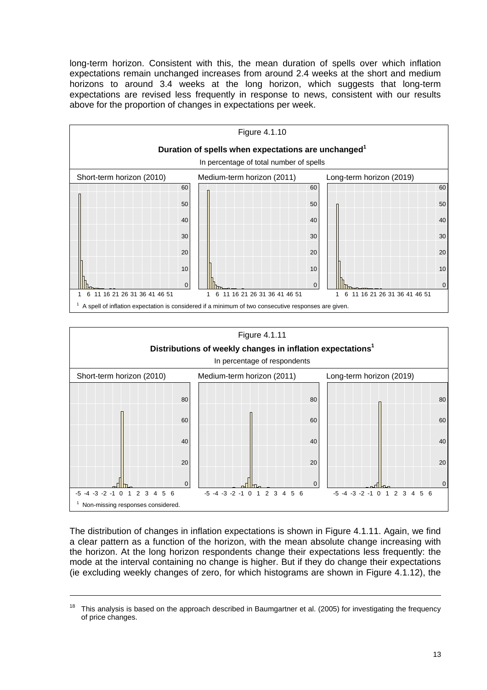long-term horizon. Consistent with this, the mean duration of spells over which inflation expectations remain unchanged increases from around 2.4 weeks at the short and medium horizons to around 3.4 weeks at the long horizon, which suggests that long-term expectations are revised less frequently in response to news, consistent with our results above for the proportion of changes in expectations per week.





The distribution of changes in inflation expectations is shown in Figure 4.1.11. Again, we find a clear pattern as a function of the horizon, with the mean absolute change increasing with the horizon. At the long horizon respondents change their expectations less frequently: the mode at the interval containing no change is higher. But if they do change their expectations (ie excluding weekly changes of zero, for which histograms are shown in Figure 4.1.12), the

 $\overline{a}$ 

This analysis is based on the approach described in Baumgartner et al. (2005) for investigating the frequency of price changes.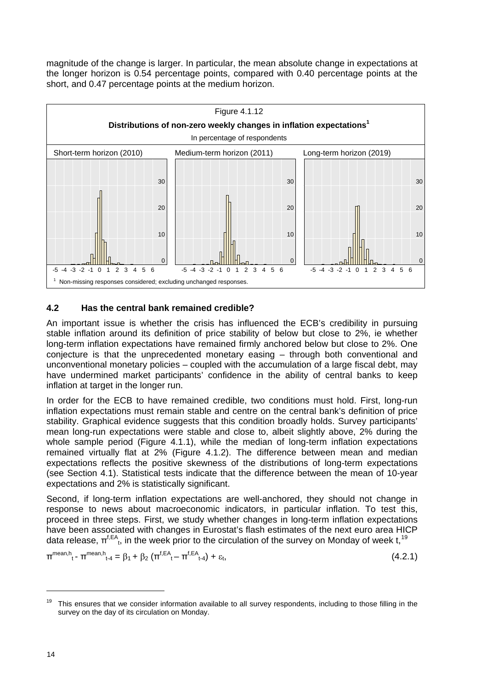magnitude of the change is larger. In particular, the mean absolute change in expectations at the longer horizon is 0.54 percentage points, compared with 0.40 percentage points at the short, and 0.47 percentage points at the medium horizon.



#### **4.2 Has the central bank remained credible?**

An important issue is whether the crisis has influenced the ECB's credibility in pursuing stable inflation around its definition of price stability of below but close to 2%, ie whether long-term inflation expectations have remained firmly anchored below but close to 2%. One conjecture is that the unprecedented monetary easing – through both conventional and unconventional monetary policies – coupled with the accumulation of a large fiscal debt, may have undermined market participants' confidence in the ability of central banks to keep inflation at target in the longer run.

In order for the ECB to have remained credible, two conditions must hold. First, long-run inflation expectations must remain stable and centre on the central bank's definition of price stability. Graphical evidence suggests that this condition broadly holds. Survey participants' mean long-run expectations were stable and close to, albeit slightly above, 2% during the whole sample period (Figure 4.1.1), while the median of long-term inflation expectations remained virtually flat at 2% (Figure 4.1.2). The difference between mean and median expectations reflects the positive skewness of the distributions of long-term expectations (see Section 4.1). Statistical tests indicate that the difference between the mean of 10-year expectations and 2% is statistically significant.

Second, if long-term inflation expectations are well-anchored, they should not change in response to news about macroeconomic indicators, in particular inflation. To test this, proceed in three steps. First, we study whether changes in long-term inflation expectations have been associated with changes in Eurostat's flash estimates of the next euro area HICP data release,  $\pi^{f,EA}$ , in the week prior to the circulation of the survey on Monday of week t,<sup>[19](#page-17-0)</sup>

 $\pi^{\text{mean}, h}$ <sub>t</sub> -  $\pi^{\text{mean}, h}$ <sub>t-4</sub> =  $\beta_1$  +  $\beta_2$  ( $\pi^{\text{f,EA}}$ <sub>t</sub> -  $\pi^{\text{f,EA}}$ <sub>t-4</sub>) +  $\varepsilon_t$ , (4.2.1)

<span id="page-17-0"></span><sup>19</sup> This ensures that we consider information available to all survey respondents, including to those filling in the survey on the day of its circulation on Monday.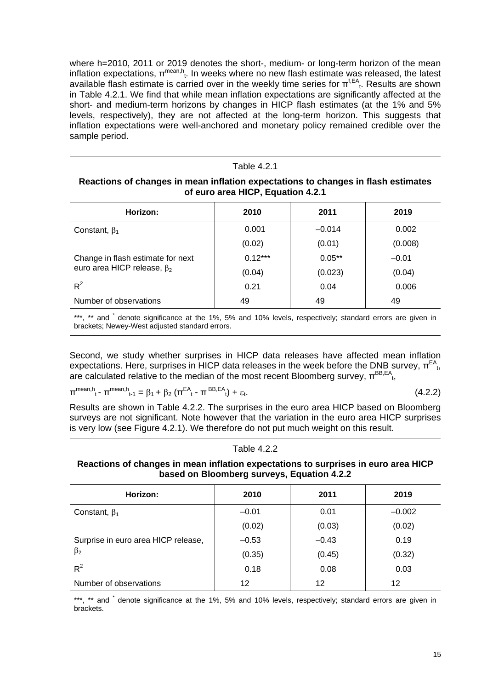where h=2010, 2011 or 2019 denotes the short-, medium- or long-term horizon of the mean inflation expectations,  $\pi^{\text{mean,h}}$ <sub>t</sub>. In weeks where no new flash estimate was released, the latest available flash estimate is carried over in the weekly time series for  $\pi^{f,EA}$ <sub>t</sub>. Results are shown in Table 4.2.1. We find that while mean inflation expectations are significantly affected at the short- and medium-term horizons by changes in HICP flash estimates (at the 1% and 5% levels, respectively), they are not affected at the long-term horizon. This suggests that inflation expectations were well-anchored and monetary policy remained credible over the sample period.

#### Table 4.2.1

#### **Reactions of changes in mean inflation expectations to changes in flash estimates of euro area HICP, Equation 4.2.1**

| Horizon:                          | 2010      | 2011     | 2019    |
|-----------------------------------|-----------|----------|---------|
| Constant, $\beta_1$               | 0.001     | $-0.014$ | 0.002   |
|                                   | (0.02)    | (0.01)   | (0.008) |
| Change in flash estimate for next | $0.12***$ | $0.05**$ | $-0.01$ |
| euro area HICP release, $\beta_2$ | (0.04)    | (0.023)  | (0.04)  |
| $R^2$                             | 0.21      | 0.04     | 0.006   |
| Number of observations            | 49        | 49       | 49      |

\*\*\*, \*\* and <sup>\*</sup> denote significance at the 1%, 5% and 10% levels, respectively; standard errors are given in brackets; Newey-West adjusted standard errors.

Second, we study whether surprises in HICP data releases have affected mean inflation expectations. Here, surprises in HICP data releases in the week before the DNB survey,  $\pi^{EA}$ <sub>t</sub>, are calculated relative to the median of the most recent Bloomberg survey,  $π^{BB,EA}$ <sub>t</sub>,

$$
\pi^{\text{mean}, h} \cdot \pi^{\text{mean}, h} \cdot \pi^{\text{mean}, h} \cdot (4.2.2)
$$

Results are shown in Table 4.2.2. The surprises in the euro area HICP based on Bloomberg surveys are not significant. Note however that the variation in the euro area HICP surprises

| Table 4.2.2 |  |
|-------------|--|
|             |  |

is very low (see Figure 4.2.1). We therefore do not put much weight on this result.

#### **Reactions of changes in mean inflation expectations to surprises in euro area HICP based on Bloomberg surveys, Equation 4.2.2**

| Horizon:                            | 2010    | 2011    | 2019     |
|-------------------------------------|---------|---------|----------|
| Constant, $\beta_1$                 | $-0.01$ | 0.01    | $-0.002$ |
|                                     | (0.02)  | (0.03)  | (0.02)   |
| Surprise in euro area HICP release, | $-0.53$ | $-0.43$ | 0.19     |
| $\beta_2$                           | (0.35)  | (0.45)  | (0.32)   |
| $R^2$                               | 0.18    | 0.08    | 0.03     |
| Number of observations              | 12      | 12      | 12       |

\*\*\*, \*\* and <sup>\*</sup> denote significance at the 1%, 5% and 10% levels, respectively; standard errors are given in brackets.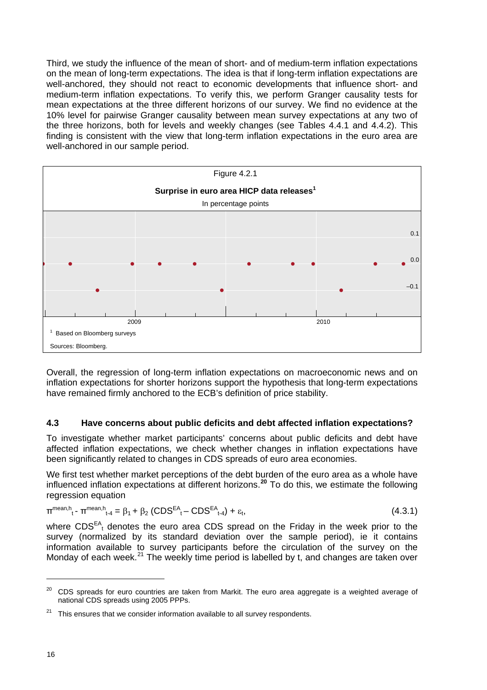Third, we study the influence of the mean of short- and of medium-term inflation expectations on the mean of long-term expectations. The idea is that if long-term inflation expectations are well-anchored, they should not react to economic developments that influence short- and medium-term inflation expectations. To verify this, we perform Granger causality tests for mean expectations at the three different horizons of our survey. We find no evidence at the 10% level for pairwise Granger causality between mean survey expectations at any two of the three horizons, both for levels and weekly changes (see Tables 4.4.1 and 4.4.2). This finding is consistent with the view that long-term inflation expectations in the euro area are well-anchored in our sample period.



Overall, the regression of long-term inflation expectations on macroeconomic news and on inflation expectations for shorter horizons support the hypothesis that long-term expectations have remained firmly anchored to the ECB's definition of price stability.

#### **4.3 Have concerns about public deficits and debt affected inflation expectations?**

To investigate whether market participants' concerns about public deficits and debt have affected inflation expectations, we check whether changes in inflation expectations have been significantly related to changes in CDS spreads of euro area economies.

We first test whether market perceptions of the debt burden of the euro area as a whole have influenced inflation expectations at different horizons.**[20](#page-19-0)** To do this, we estimate the following regression equation

$$
\pi^{\text{mean}, h} \cdot \pi^{\text{mean}, h} \cdot \pi^{\text{mean}, h} \cdot \pi^{\text{mean}, h} \cdot \beta_2 \left( CDS^{EA} \cdot (-CDS^{EA} \cdot \pi^{\text{mean}, h}) + \varepsilon_t, \tag{4.3.1}
$$

where  $CDS<sup>EA</sup><sub>t</sub>$  denotes the euro area CDS spread on the Friday in the week prior to the survey (normalized by its standard deviation over the sample period), ie it contains information available to survey participants before the circulation of the survey on the Monday of each week. $^{21}$  The weekly time period is labelled by t, and changes are taken over

 $\overline{a}$ 

<span id="page-19-0"></span> $20$  CDS spreads for euro countries are taken from Markit. The euro area aggregate is a weighted average of national CDS spreads using 2005 PPPs.

<span id="page-19-1"></span> $21$  This ensures that we consider information available to all survey respondents.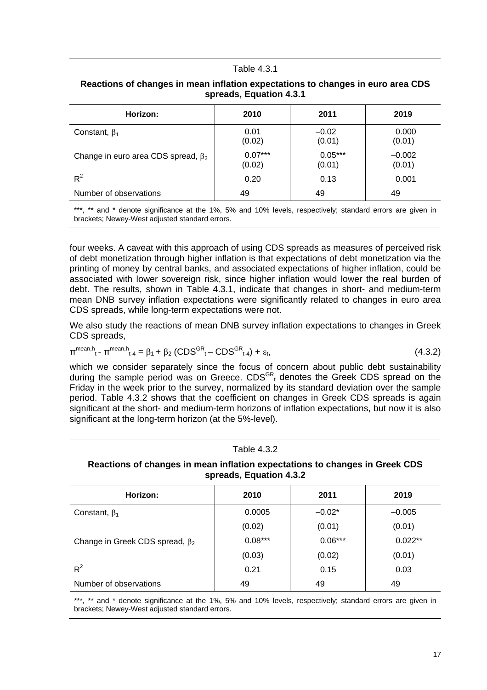#### Table 4.3.1

| Horizon:                                  | 2010                | 2011                | 2019               |
|-------------------------------------------|---------------------|---------------------|--------------------|
| Constant, $\beta_1$                       | 0.01<br>(0.02)      | $-0.02$<br>(0.01)   | 0.000<br>(0.01)    |
| Change in euro area CDS spread, $\beta_2$ | $0.07***$<br>(0.02) | $0.05***$<br>(0.01) | $-0.002$<br>(0.01) |
| $R^2$                                     | 0.20                | 0.13                | 0.001              |
| Number of observations                    | 49                  | 49                  | 49                 |

#### **Reactions of changes in mean inflation expectations to changes in euro area CDS spreads, Equation 4.3.1**

\*\*\*. \*\* and \* denote significance at the 1%, 5% and 10% levels, respectively; standard errors are given in brackets; Newey-West adjusted standard errors.

four weeks. A caveat with this approach of using CDS spreads as measures of perceived risk of debt monetization through higher inflation is that expectations of debt monetization via the printing of money by central banks, and associated expectations of higher inflation, could be associated with lower sovereign risk, since higher inflation would lower the real burden of debt. The results, shown in Table 4.3.1, indicate that changes in short- and medium-term mean DNB survey inflation expectations were significantly related to changes in euro area CDS spreads, while long-term expectations were not.

We also study the reactions of mean DNB survey inflation expectations to changes in Greek CDS spreads,

$$
\pi^{\text{mean}, h} \cdot \pi^{\text{mean}, h} \cdot \pi^{\text{mean}, h} \cdot \mathcal{B}_1 + \beta_2 \left( CDS^{\text{GR}} \cdot (-CDS^{\text{GR}} \cdot \mathcal{A}) + \varepsilon_t, \tag{4.3.2}
$$

which we consider separately since the focus of concern about public debt sustainability during the sample period was on Greece.  $CDS<sup>GR</sup><sub>t</sub>$  denotes the Greek CDS spread on the Friday in the week prior to the survey, normalized by its standard deviation over the sample period. Table 4.3.2 shows that the coefficient on changes in Greek CDS spreads is again significant at the short- and medium-term horizons of inflation expectations, but now it is also significant at the long-term horizon (at the 5%-level).

| $= 100$                               |           |           |           |  |
|---------------------------------------|-----------|-----------|-----------|--|
| Horizon:                              | 2010      | 2011      | 2019      |  |
| Constant, $\beta_1$                   | 0.0005    | $-0.02*$  | $-0.005$  |  |
|                                       | (0.02)    | (0.01)    | (0.01)    |  |
| Change in Greek CDS spread, $\beta_2$ | $0.08***$ | $0.06***$ | $0.022**$ |  |
|                                       | (0.03)    | (0.02)    | (0.01)    |  |
| $R^2$                                 | 0.21      | 0.15      | 0.03      |  |
| Number of observations                | 49        | 49        | 49        |  |

#### Table 4.3.2

**Reactions of changes in mean inflation expectations to changes in Greek CDS spreads, Equation 4.3.2** 

\*\*\*, \*\* and \* denote significance at the 1%, 5% and 10% levels, respectively; standard errors are given in brackets; Newey-West adjusted standard errors.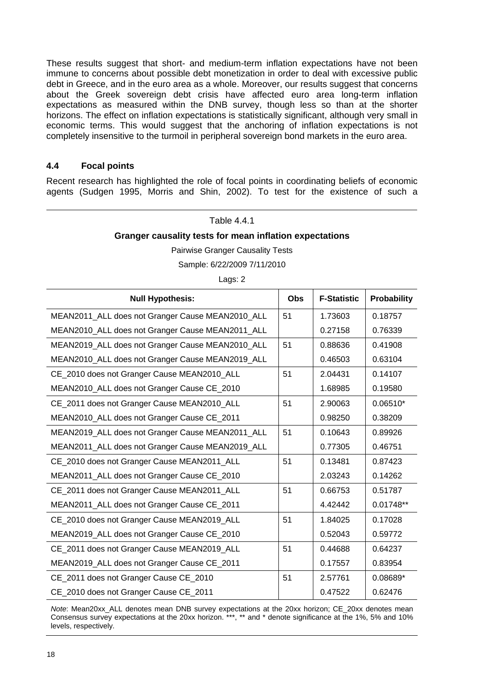These results suggest that short- and medium-term inflation expectations have not been immune to concerns about possible debt monetization in order to deal with excessive public debt in Greece, and in the euro area as a whole. Moreover, our results suggest that concerns about the Greek sovereign debt crisis have affected euro area long-term inflation expectations as measured within the DNB survey, though less so than at the shorter horizons. The effect on inflation expectations is statistically significant, although very small in economic terms. This would suggest that the anchoring of inflation expectations is not completely insensitive to the turmoil in peripheral sovereign bond markets in the euro area.

#### **4.4 Focal points**

Recent research has highlighted the role of focal points in coordinating beliefs of economic agents (Sudgen 1995, Morris and Shin, 2002). To test for the existence of such a

#### Table 4.4.1

#### **Granger causality tests for mean inflation expectations**

Pairwise Granger Causality Tests

Sample: 6/22/2009 7/11/2010

#### Lags: 2

| <b>Null Hypothesis:</b>                          | <b>Obs</b> | <b>F-Statistic</b> | Probability |
|--------------------------------------------------|------------|--------------------|-------------|
| MEAN2011_ALL does not Granger Cause MEAN2010_ALL | 51         | 1.73603            | 0.18757     |
| MEAN2010_ALL does not Granger Cause MEAN2011_ALL |            | 0.27158            | 0.76339     |
| MEAN2019_ALL does not Granger Cause MEAN2010_ALL | 51         | 0.88636            | 0.41908     |
| MEAN2010_ALL does not Granger Cause MEAN2019_ALL |            | 0.46503            | 0.63104     |
| CE_2010 does not Granger Cause MEAN2010_ALL      | 51         | 2.04431            | 0.14107     |
| MEAN2010_ALL does not Granger Cause CE_2010      |            | 1.68985            | 0.19580     |
| CE_2011 does not Granger Cause MEAN2010_ALL      | 51         | 2.90063            | $0.06510*$  |
| MEAN2010_ALL does not Granger Cause CE_2011      |            | 0.98250            | 0.38209     |
| MEAN2019_ALL does not Granger Cause MEAN2011_ALL | 51         | 0.10643            | 0.89926     |
| MEAN2011_ALL does not Granger Cause MEAN2019_ALL |            | 0.77305            | 0.46751     |
| CE_2010 does not Granger Cause MEAN2011_ALL      | 51         | 0.13481            | 0.87423     |
| MEAN2011_ALL does not Granger Cause CE_2010      |            | 2.03243            | 0.14262     |
| CE_2011 does not Granger Cause MEAN2011_ALL      | 51         | 0.66753            | 0.51787     |
| MEAN2011_ALL does not Granger Cause CE_2011      |            | 4.42442            | $0.01748**$ |
| CE_2010 does not Granger Cause MEAN2019_ALL      | 51         | 1.84025            | 0.17028     |
| MEAN2019_ALL does not Granger Cause CE_2010      |            | 0.52043            | 0.59772     |
| CE_2011 does not Granger Cause MEAN2019_ALL      | 51         | 0.44688            | 0.64237     |
| MEAN2019_ALL does not Granger Cause CE_2011      |            | 0.17557            | 0.83954     |
| CE_2011 does not Granger Cause CE_2010           | 51         | 2.57761            | 0.08689*    |
| CE 2010 does not Granger Cause CE 2011           |            | 0.47522            | 0.62476     |

*Note*: Mean20xx\_ALL denotes mean DNB survey expectations at the 20xx horizon; CE\_20xx denotes mean Consensus survey expectations at the 20xx horizon. \*\*\*, \*\* and \* denote significance at the 1%, 5% and 10% levels, respectively.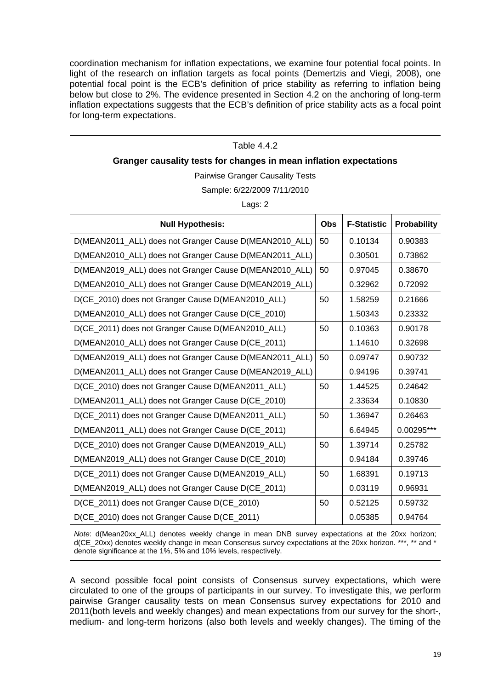coordination mechanism for inflation expectations, we examine four potential focal points. In light of the research on inflation targets as focal points (Demertzis and Viegi, 2008), one potential focal point is the ECB's definition of price stability as referring to inflation being below but close to 2%. The evidence presented in Section 4.2 on the anchoring of long-term inflation expectations suggests that the ECB's definition of price stability acts as a focal point for long-term expectations.

#### Table 4.4.2

#### **Granger causality tests for changes in mean inflation expectations**

Pairwise Granger Causality Tests

Sample: 6/22/2009 7/11/2010

Lags: 2

| <b>Null Hypothesis:</b>                                | Obs | <b>F-Statistic</b> | <b>Probability</b> |
|--------------------------------------------------------|-----|--------------------|--------------------|
| D(MEAN2011_ALL) does not Granger Cause D(MEAN2010_ALL) | 50  | 0.10134            | 0.90383            |
| D(MEAN2010_ALL) does not Granger Cause D(MEAN2011_ALL) |     | 0.30501            | 0.73862            |
| D(MEAN2019_ALL) does not Granger Cause D(MEAN2010_ALL) | 50  | 0.97045            | 0.38670            |
| D(MEAN2010_ALL) does not Granger Cause D(MEAN2019_ALL) |     | 0.32962            | 0.72092            |
| D(CE_2010) does not Granger Cause D(MEAN2010_ALL)      | 50  | 1.58259            | 0.21666            |
| D(MEAN2010_ALL) does not Granger Cause D(CE_2010)      |     | 1.50343            | 0.23332            |
| D(CE_2011) does not Granger Cause D(MEAN2010_ALL)      | 50  | 0.10363            | 0.90178            |
| D(MEAN2010_ALL) does not Granger Cause D(CE_2011)      |     | 1.14610            | 0.32698            |
| D(MEAN2019_ALL) does not Granger Cause D(MEAN2011_ALL) | 50  | 0.09747            | 0.90732            |
| D(MEAN2011_ALL) does not Granger Cause D(MEAN2019_ALL) |     | 0.94196            | 0.39741            |
| D(CE_2010) does not Granger Cause D(MEAN2011_ALL)      | 50  | 1.44525            | 0.24642            |
| D(MEAN2011_ALL) does not Granger Cause D(CE_2010)      |     | 2.33634            | 0.10830            |
| D(CE_2011) does not Granger Cause D(MEAN2011_ALL)      | 50  | 1.36947            | 0.26463            |
| D(MEAN2011_ALL) does not Granger Cause D(CE_2011)      |     | 6.64945            | $0.00295***$       |
| D(CE_2010) does not Granger Cause D(MEAN2019_ALL)      | 50  | 1.39714            | 0.25782            |
| D(MEAN2019_ALL) does not Granger Cause D(CE_2010)      |     | 0.94184            | 0.39746            |
| D(CE_2011) does not Granger Cause D(MEAN2019_ALL)      | 50  | 1.68391            | 0.19713            |
| D(MEAN2019_ALL) does not Granger Cause D(CE_2011)      |     | 0.03119            | 0.96931            |
| D(CE_2011) does not Granger Cause D(CE_2010)           | 50  | 0.52125            | 0.59732            |
| D(CE_2010) does not Granger Cause D(CE_2011)           |     | 0.05385            | 0.94764            |

*Note*: d(Mean20xx ALL) denotes weekly change in mean DNB survey expectations at the 20xx horizon; d(CE\_20xx) denotes weekly change in mean Consensus survey expectations at the 20xx horizon. \*\*\*, \*\* and \* denote significance at the 1%, 5% and 10% levels, respectively.

A second possible focal point consists of Consensus survey expectations, which were circulated to one of the groups of participants in our survey. To investigate this, we perform pairwise Granger causality tests on mean Consensus survey expectations for 2010 and 2011(both levels and weekly changes) and mean expectations from our survey for the short-, medium- and long-term horizons (also both levels and weekly changes). The timing of the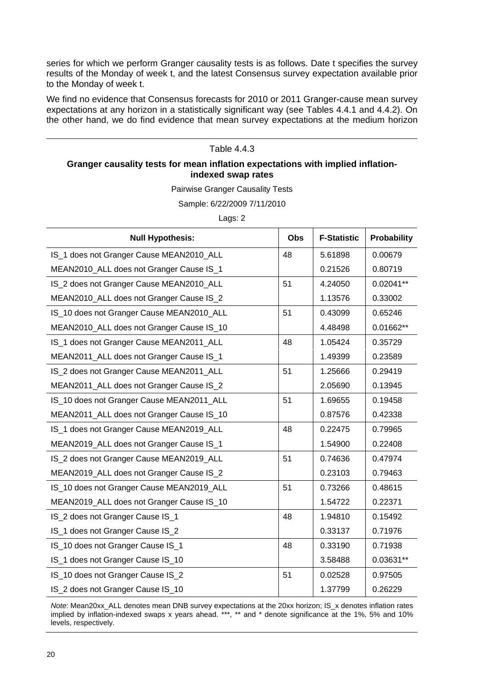series for which we perform Granger causality tests is as follows. Date t specifies the survey results of the Monday of week t, and the latest Consensus survey expectation available prior to the Monday of week t.

We find no evidence that Consensus forecasts for 2010 or 2011 Granger-cause mean survey expectations at any horizon in a statistically significant way (see Tables 4.4.1 and 4.4.2). On the other hand, we do find evidence that mean survey expectations at the medium horizon

#### Table 4.4.3

#### **Granger causality tests for mean inflation expectations with implied inflationindexed swap rates**

Pairwise Granger Causality Tests

Sample: 6/22/2009 7/11/2010

Lags: 2

| <b>Null Hypothesis:</b>                   | <b>Obs</b> | <b>F-Statistic</b> | Probability |
|-------------------------------------------|------------|--------------------|-------------|
| IS_1 does not Granger Cause MEAN2010_ALL  | 48         | 5.61898            | 0.00679     |
| MEAN2010_ALL does not Granger Cause IS_1  |            | 0.21526            | 0.80719     |
| IS_2 does not Granger Cause MEAN2010_ALL  | 51         | 4.24050            | $0.02041**$ |
| MEAN2010_ALL does not Granger Cause IS_2  |            | 1.13576            | 0.33002     |
| IS_10 does not Granger Cause MEAN2010_ALL | 51         | 0.43099            | 0.65246     |
| MEAN2010_ALL does not Granger Cause IS_10 |            | 4.48498            | 0.01662**   |
| IS_1 does not Granger Cause MEAN2011_ALL  | 48         | 1.05424            | 0.35729     |
| MEAN2011_ALL does not Granger Cause IS_1  |            | 1.49399            | 0.23589     |
| IS_2 does not Granger Cause MEAN2011_ALL  | 51         | 1.25666            | 0.29419     |
| MEAN2011_ALL does not Granger Cause IS_2  |            | 2.05690            | 0.13945     |
| IS_10 does not Granger Cause MEAN2011_ALL | 51         | 1.69655            | 0.19458     |
| MEAN2011_ALL does not Granger Cause IS_10 |            | 0.87576            | 0.42338     |
| IS_1 does not Granger Cause MEAN2019_ALL  | 48         | 0.22475            | 0.79965     |
| MEAN2019_ALL does not Granger Cause IS_1  |            | 1.54900            | 0.22408     |
| IS_2 does not Granger Cause MEAN2019_ALL  | 51         | 0.74636            | 0.47974     |
| MEAN2019_ALL does not Granger Cause IS_2  |            | 0.23103            | 0.79463     |
| IS_10 does not Granger Cause MEAN2019_ALL | 51         | 0.73266            | 0.48615     |
| MEAN2019_ALL does not Granger Cause IS_10 |            | 1.54722            | 0.22371     |
| IS_2 does not Granger Cause IS_1          | 48         | 1.94810            | 0.15492     |
| IS_1 does not Granger Cause IS_2          |            | 0.33137            | 0.71976     |
| IS_10 does not Granger Cause IS_1         | 48         | 0.33190            | 0.71938     |
| IS_1 does not Granger Cause IS_10         |            | 3.58488            | 0.03631**   |
| IS_10 does not Granger Cause IS_2         | 51         | 0.02528            | 0.97505     |
| IS_2 does not Granger Cause IS_10         |            | 1.37799            | 0.26229     |

*Note*: Mean20xx\_ALL denotes mean DNB survey expectations at the 20xx horizon; IS\_x denotes inflation rates implied by inflation-indexed swaps x years ahead. \*\*\*, \*\* and \* denote significance at the 1%, 5% and 10% levels, respectively.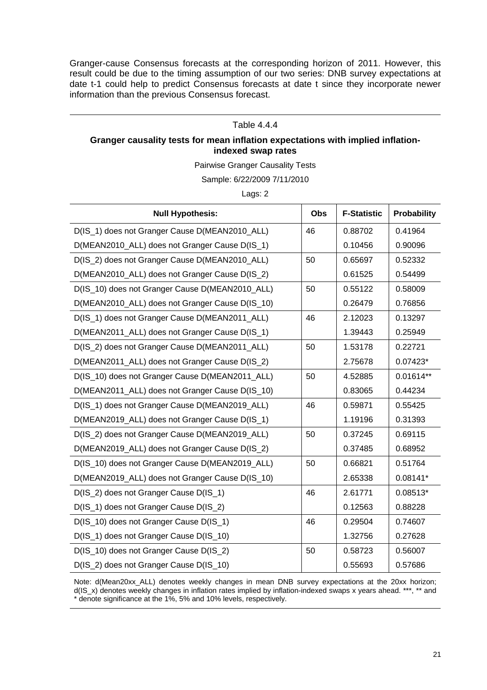Granger-cause Consensus forecasts at the corresponding horizon of 2011. However, this result could be due to the timing assumption of our two series: DNB survey expectations at date t-1 could help to predict Consensus forecasts at date t since they incorporate newer information than the previous Consensus forecast.

#### Table 4.4.4

#### **Granger causality tests for mean inflation expectations with implied inflationindexed swap rates**

Pairwise Granger Causality Tests

Sample: 6/22/2009 7/11/2010

Lags: 2

| <b>Null Hypothesis:</b>                         | <b>Obs</b> | <b>F-Statistic</b> | Probability |
|-------------------------------------------------|------------|--------------------|-------------|
| D(IS_1) does not Granger Cause D(MEAN2010_ALL)  | 46         | 0.88702            | 0.41964     |
| D(MEAN2010_ALL) does not Granger Cause D(IS_1)  |            | 0.10456            | 0.90096     |
| D(IS_2) does not Granger Cause D(MEAN2010_ALL)  | 50         | 0.65697            | 0.52332     |
| D(MEAN2010_ALL) does not Granger Cause D(IS_2)  |            | 0.61525            | 0.54499     |
| D(IS_10) does not Granger Cause D(MEAN2010_ALL) | 50         | 0.55122            | 0.58009     |
| D(MEAN2010_ALL) does not Granger Cause D(IS_10) |            | 0.26479            | 0.76856     |
| D(IS_1) does not Granger Cause D(MEAN2011_ALL)  | 46         | 2.12023            | 0.13297     |
| D(MEAN2011_ALL) does not Granger Cause D(IS_1)  |            | 1.39443            | 0.25949     |
| D(IS_2) does not Granger Cause D(MEAN2011_ALL)  | 50         | 1.53178            | 0.22721     |
| D(MEAN2011_ALL) does not Granger Cause D(IS_2)  |            | 2.75678            | $0.07423*$  |
| D(IS_10) does not Granger Cause D(MEAN2011_ALL) | 50         | 4.52885            | $0.01614**$ |
| D(MEAN2011_ALL) does not Granger Cause D(IS_10) |            | 0.83065            | 0.44234     |
| D(IS_1) does not Granger Cause D(MEAN2019_ALL)  | 46         | 0.59871            | 0.55425     |
| D(MEAN2019_ALL) does not Granger Cause D(IS_1)  |            | 1.19196            | 0.31393     |
| D(IS_2) does not Granger Cause D(MEAN2019_ALL)  | 50         | 0.37245            | 0.69115     |
| D(MEAN2019_ALL) does not Granger Cause D(IS_2)  |            | 0.37485            | 0.68952     |
| D(IS_10) does not Granger Cause D(MEAN2019_ALL) | 50         | 0.66821            | 0.51764     |
| D(MEAN2019_ALL) does not Granger Cause D(IS_10) |            | 2.65338            | $0.08141*$  |
| D(IS_2) does not Granger Cause D(IS_1)          | 46         | 2.61771            | 0.08513*    |
| D(IS_1) does not Granger Cause D(IS_2)          |            | 0.12563            | 0.88228     |
| D(IS_10) does not Granger Cause D(IS_1)         | 46         | 0.29504            | 0.74607     |
| D(IS_1) does not Granger Cause D(IS_10)         |            | 1.32756            | 0.27628     |
| D(IS_10) does not Granger Cause D(IS_2)         | 50         | 0.58723            | 0.56007     |
| D(IS_2) does not Granger Cause D(IS_10)         |            | 0.55693            | 0.57686     |

Note: d(Mean20xx ALL) denotes weekly changes in mean DNB survey expectations at the 20xx horizon; d(IS\_x) denotes weekly changes in inflation rates implied by inflation-indexed swaps x years ahead. \*\*\*, \*\* and \* denote significance at the 1%, 5% and 10% levels, respectively.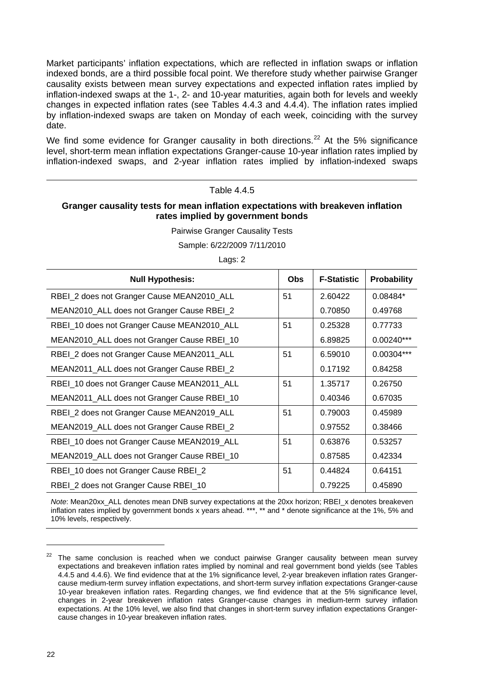Market participants' inflation expectations, which are reflected in inflation swaps or inflation indexed bonds, are a third possible focal point. We therefore study whether pairwise Granger causality exists between mean survey expectations and expected inflation rates implied by inflation-indexed swaps at the 1-, 2- and 10-year maturities, again both for levels and weekly changes in expected inflation rates (see Tables 4.4.3 and 4.4.4). The inflation rates implied by inflation-indexed swaps are taken on Monday of each week, coinciding with the survey date.

We find some evidence for Granger causality in both directions.<sup>[22](#page-25-0)</sup> At the 5% significance level, short-term mean inflation expectations Granger-cause 10-year inflation rates implied by inflation-indexed swaps, and 2-year inflation rates implied by inflation-indexed swaps

#### Table 4.4.5

#### **Granger causality tests for mean inflation expectations with breakeven inflation rates implied by government bonds**

Pairwise Granger Causality Tests

Sample: 6/22/2009 7/11/2010

| -<br>. . |  |
|----------|--|
|----------|--|

| <b>Null Hypothesis:</b>                     | <b>Obs</b> | <b>F-Statistic</b> | Probability  |
|---------------------------------------------|------------|--------------------|--------------|
| RBEI_2 does not Granger Cause MEAN2010_ALL  | 51         | 2.60422            | 0.08484*     |
| MEAN2010_ALL does not Granger Cause RBEI_2  |            | 0.70850            | 0.49768      |
| RBEI_10 does not Granger Cause MEAN2010_ALL | 51         | 0.25328            | 0.77733      |
| MEAN2010_ALL does not Granger Cause RBEI_10 |            | 6.89825            | $0.00240***$ |
| RBEI_2 does not Granger Cause MEAN2011_ALL  | 51         | 6.59010            | 0.00304***   |
| MEAN2011_ALL does not Granger Cause RBEI_2  |            | 0.17192            | 0.84258      |
| RBEI_10 does not Granger Cause MEAN2011_ALL | 51         | 1.35717            | 0.26750      |
| MEAN2011_ALL does not Granger Cause RBEI_10 |            | 0.40346            | 0.67035      |
| RBEI_2 does not Granger Cause MEAN2019_ALL  | 51         | 0.79003            | 0.45989      |
| MEAN2019_ALL does not Granger Cause RBEI_2  |            | 0.97552            | 0.38466      |
| RBEI_10 does not Granger Cause MEAN2019_ALL | 51         | 0.63876            | 0.53257      |
| MEAN2019_ALL does not Granger Cause RBEI_10 |            | 0.87585            | 0.42334      |
| RBEI_10 does not Granger Cause RBEI_2       | 51         | 0.44824            | 0.64151      |
| RBEI_2 does not Granger Cause RBEI_10       |            | 0.79225            | 0.45890      |

*Note*: Mean20xx\_ALL denotes mean DNB survey expectations at the 20xx horizon; RBEI\_x denotes breakeven inflation rates implied by government bonds x years ahead. \*\*\*, \*\* and \* denote significance at the 1%, 5% and 10% levels, respectively.

 $\overline{a}$ 

<span id="page-25-0"></span> $22$  The same conclusion is reached when we conduct pairwise Granger causality between mean survey expectations and breakeven inflation rates implied by nominal and real government bond yields (see Tables 4.4.5 and 4.4.6). We find evidence that at the 1% significance level, 2-year breakeven inflation rates Grangercause medium-term survey inflation expectations, and short-term survey inflation expectations Granger-cause 10-year breakeven inflation rates. Regarding changes, we find evidence that at the 5% significance level, changes in 2-year breakeven inflation rates Granger-cause changes in medium-term survey inflation expectations. At the 10% level, we also find that changes in short-term survey inflation expectations Grangercause changes in 10-year breakeven inflation rates.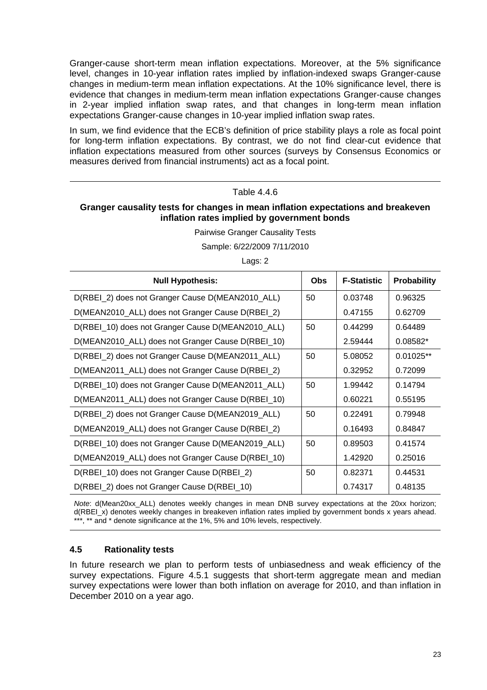Granger-cause short-term mean inflation expectations. Moreover, at the 5% significance level, changes in 10-year inflation rates implied by inflation-indexed swaps Granger-cause changes in medium-term mean inflation expectations. At the 10% significance level, there is evidence that changes in medium-term mean inflation expectations Granger-cause changes in 2-year implied inflation swap rates, and that changes in long-term mean inflation expectations Granger-cause changes in 10-year implied inflation swap rates.

In sum, we find evidence that the ECB's definition of price stability plays a role as focal point for long-term inflation expectations. By contrast, we do not find clear-cut evidence that inflation expectations measured from other sources (surveys by Consensus Economics or measures derived from financial instruments) act as a focal point.

#### Table 4.4.6

#### **Granger causality tests for changes in mean inflation expectations and breakeven inflation rates implied by government bonds**

Pairwise Granger Causality Tests

Sample: 6/22/2009 7/11/2010

| -<br>ч.<br>٠.<br>. . |  |
|----------------------|--|
|----------------------|--|

| <b>Null Hypothesis:</b>                           | <b>Obs</b> | <b>F-Statistic</b> | <b>Probability</b> |
|---------------------------------------------------|------------|--------------------|--------------------|
| D(RBEI_2) does not Granger Cause D(MEAN2010_ALL)  | 50         | 0.03748            | 0.96325            |
| D(MEAN2010_ALL) does not Granger Cause D(RBEI_2)  |            | 0.47155            | 0.62709            |
| D(RBEI_10) does not Granger Cause D(MEAN2010_ALL) | 50         | 0.44299            | 0.64489            |
| D(MEAN2010_ALL) does not Granger Cause D(RBEI_10) |            | 2.59444            | 0.08582*           |
| D(RBEI_2) does not Granger Cause D(MEAN2011_ALL)  | 50         | 5.08052            | $0.01025**$        |
| D(MEAN2011_ALL) does not Granger Cause D(RBEI_2)  |            | 0.32952            | 0.72099            |
| D(RBEI_10) does not Granger Cause D(MEAN2011_ALL) | 50         | 1.99442            | 0.14794            |
| D(MEAN2011_ALL) does not Granger Cause D(RBEI_10) |            | 0.60221            | 0.55195            |
| D(RBEI_2) does not Granger Cause D(MEAN2019_ALL)  | 50         | 0.22491            | 0.79948            |
| D(MEAN2019_ALL) does not Granger Cause D(RBEI_2)  |            | 0.16493            | 0.84847            |
| D(RBEI_10) does not Granger Cause D(MEAN2019_ALL) | 50         | 0.89503            | 0.41574            |
| D(MEAN2019_ALL) does not Granger Cause D(RBEI_10) |            | 1.42920            | 0.25016            |
| D(RBEI_10) does not Granger Cause D(RBEI_2)       | 50         | 0.82371            | 0.44531            |
| D(RBEI_2) does not Granger Cause D(RBEI_10)       |            | 0.74317            | 0.48135            |

*Note*: d(Mean20xx ALL) denotes weekly changes in mean DNB survey expectations at the 20xx horizon; d(RBEI\_x) denotes weekly changes in breakeven inflation rates implied by government bonds x years ahead. \*, \*\* and \* denote significance at the 1%, 5% and 10% levels, respectively.

#### **4.5 Rationality tests**

In future research we plan to perform tests of unbiasedness and weak efficiency of the survey expectations. Figure 4.5.1 suggests that short-term aggregate mean and median survey expectations were lower than both inflation on average for 2010, and than inflation in December 2010 on a year ago.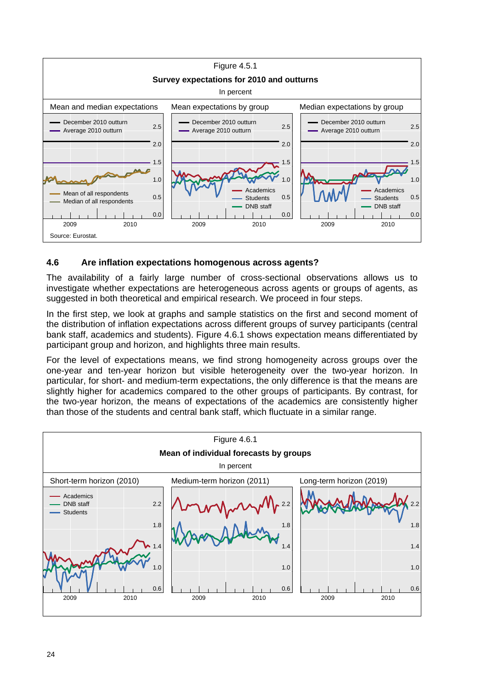

#### **4.6 Are inflation expectations homogenous across agents?**

The availability of a fairly large number of cross-sectional observations allows us to investigate whether expectations are heterogeneous across agents or groups of agents, as suggested in both theoretical and empirical research. We proceed in four steps.

In the first step, we look at graphs and sample statistics on the first and second moment of the distribution of inflation expectations across different groups of survey participants (central bank staff, academics and students). Figure 4.6.1 shows expectation means differentiated by participant group and horizon, and highlights three main results.

For the level of expectations means, we find strong homogeneity across groups over the one-year and ten-year horizon but visible heterogeneity over the two-year horizon. In particular, for short- and medium-term expectations, the only difference is that the means are slightly higher for academics compared to the other groups of participants. By contrast, for the two-year horizon, the means of expectations of the academics are consistently higher than those of the students and central bank staff, which fluctuate in a similar range.

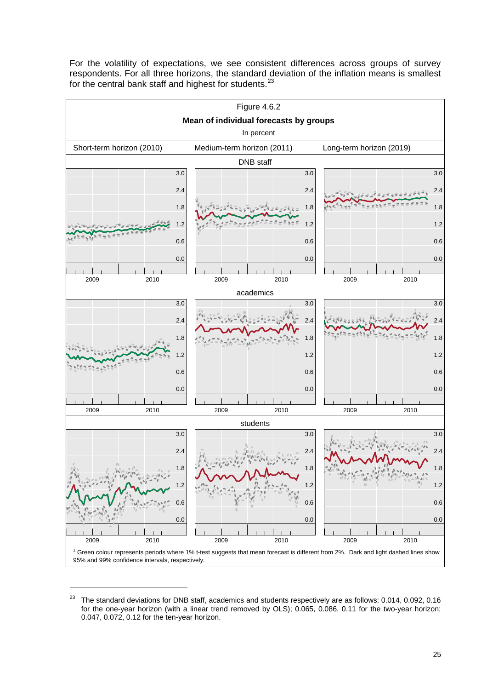For the volatility of expectations, we see consistent differences across groups of survey respondents. For all three horizons, the standard deviation of the inflation means is smallest for the central bank staff and highest for students.<sup>23</sup>



<span id="page-28-0"></span><sup>&</sup>lt;sup>23</sup> The standard deviations for DNB staff, academics and students respectively are as follows: 0.014, 0.092, 0.16 for the one-year horizon (with a linear trend removed by OLS); 0.065, 0.086, 0.11 for the two-year horizon; 0.047, 0.072, 0.12 for the ten-year horizon.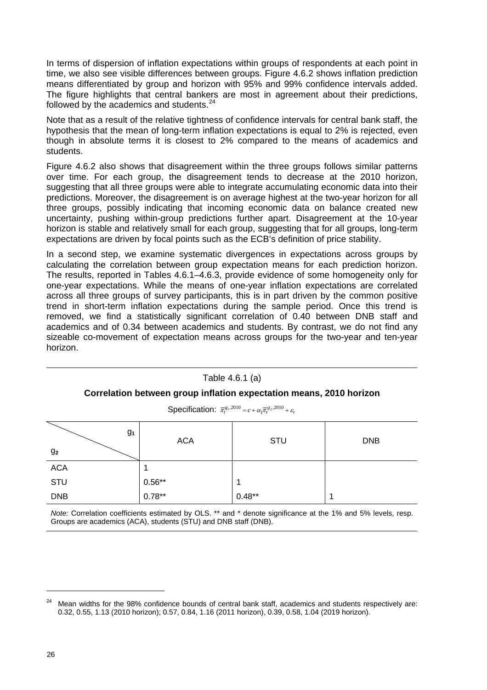In terms of dispersion of inflation expectations within groups of respondents at each point in time, we also see visible differences between groups. Figure 4.6.2 shows inflation prediction means differentiated by group and horizon with 95% and 99% confidence intervals added. The figure highlights that central bankers are most in agreement about their predictions, followed by the academics and students.<sup>[24](#page-29-0)</sup>

Note that as a result of the relative tightness of confidence intervals for central bank staff, the hypothesis that the mean of long-term inflation expectations is equal to 2% is rejected, even though in absolute terms it is closest to 2% compared to the means of academics and students.

Figure 4.6.2 also shows that disagreement within the three groups follows similar patterns over time. For each group, the disagreement tends to decrease at the 2010 horizon, suggesting that all three groups were able to integrate accumulating economic data into their predictions. Moreover, the disagreement is on average highest at the two-year horizon for all three groups, possibly indicating that incoming economic data on balance created new uncertainty, pushing within-group predictions further apart. Disagreement at the 10-year horizon is stable and relatively small for each group, suggesting that for all groups, long-term expectations are driven by focal points such as the ECB's definition of price stability.

In a second step, we examine systematic divergences in expectations across groups by calculating the correlation between group expectation means for each prediction horizon. The results, reported in Tables 4.6.1–4.6.3, provide evidence of some homogeneity only for one-year expectations. While the means of one-year inflation expectations are correlated across all three groups of survey participants, this is in part driven by the common positive trend in short-term inflation expectations during the sample period. Once this trend is removed, we find a statistically significant correlation of 0.40 between DNB staff and academics and of 0.34 between academics and students. By contrast, we do not find any sizeable co-movement of expectation means across groups for the two-year and ten-year horizon.

#### Table 4.6.1 (a)

#### **Correlation between group inflation expectation means, 2010 horizon**

| g <sub>1</sub><br>g <sub>2</sub> | <b>ACA</b> | STU      | <b>DNB</b> |
|----------------------------------|------------|----------|------------|
| <b>ACA</b>                       |            |          |            |
| <b>STU</b>                       | $0.56***$  |          |            |
| <b>DNB</b>                       | $0.78**$   | $0.48**$ |            |

Specification:  $\overline{\pi}^{g_1,2010}_{t} = c + \alpha_1 \overline{\pi}^{g_2,2010}_{t} + \varepsilon_t$ 

*Note:* Correlation coefficients estimated by OLS. \*\* and \* denote significance at the 1% and 5% levels, resp. Groups are academics (ACA), students (STU) and DNB staff (DNB).

<span id="page-29-0"></span><sup>24</sup> Mean widths for the 98% confidence bounds of central bank staff, academics and students respectively are: 0.32, 0.55, 1.13 (2010 horizon); 0.57, 0.84, 1.16 (2011 horizon), 0.39, 0.58, 1.04 (2019 horizon).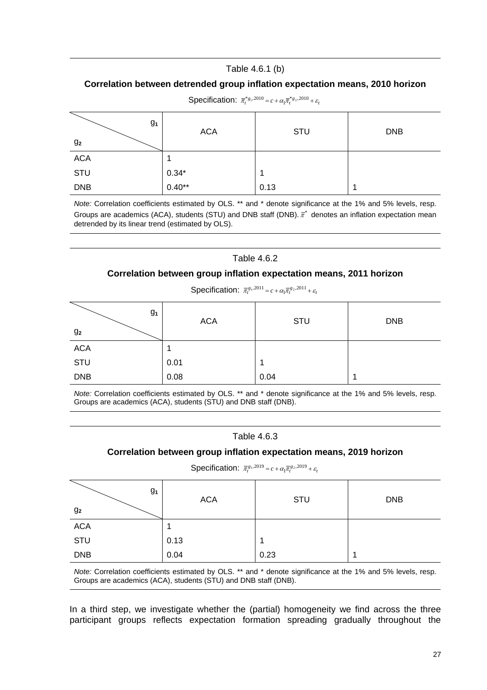#### Table 4.6.1 (b)

#### **Correlation between detrended group inflation expectation means, 2010 horizon**

| g <sub>1</sub> | <b>ACA</b> | STU  | <b>DNB</b> |
|----------------|------------|------|------------|
| $g_{2}$        |            |      |            |
| $\sf{ACA}$     |            |      |            |
| STU            | $0.34*$    |      |            |
| <b>DNB</b>     | $0.40**$   | 0.13 |            |

Specification:  $\bar{\pi}_t^{*_{g_1},2010} = c + \alpha_1 \bar{\pi}_t^{*_{g_2},2010} + \varepsilon_t$ 

*Note:* Correlation coefficients estimated by OLS. \*\* and \* denote significance at the 1% and 5% levels, resp. Groups are academics (ACA), students (STU) and DNB staff (DNB),  $\bar{\pi}^*$  denotes an inflation expectation mean detrended by its linear trend (estimated by OLS).

#### Table 4.6.2

#### **Correlation between group inflation expectation means, 2011 horizon**

Specification:  $\overline{\pi}^{g_1,2011}_{t} = c + \alpha_1 \overline{\pi}^{g_2,2011}_{t} + \varepsilon_t$ 

| g <sub>1</sub><br>g <sub>2</sub> | <b>ACA</b> | <b>STU</b> | <b>DNB</b> |
|----------------------------------|------------|------------|------------|
| $\sf{ACA}$                       |            |            |            |
| STU                              | 0.01       | 1          |            |
| <b>DNB</b>                       | 0.08       | 0.04       |            |

*Note:* Correlation coefficients estimated by OLS. \*\* and \* denote significance at the 1% and 5% levels, resp. Groups are academics (ACA), students (STU) and DNB staff (DNB).

#### Table 4.6.3

#### **Correlation between group inflation expectation means, 2019 horizon**

Specification:  $\overline{\pi}^{g_1,2019}_t = c + \alpha_1 \overline{\pi}^{g_2,2019}_t + \varepsilon_t$ 

| g <sub>1</sub><br>g <sub>2</sub> | <b>ACA</b> | STU  | <b>DNB</b> |
|----------------------------------|------------|------|------------|
| $\sf{ACA}$                       |            |      |            |
| STU                              | 0.13       |      |            |
| <b>DNB</b>                       | 0.04       | 0.23 |            |

*Note:* Correlation coefficients estimated by OLS. \*\* and \* denote significance at the 1% and 5% levels, resp. Groups are academics (ACA), students (STU) and DNB staff (DNB).

In a third step, we investigate whether the (partial) homogeneity we find across the three participant groups reflects expectation formation spreading gradually throughout the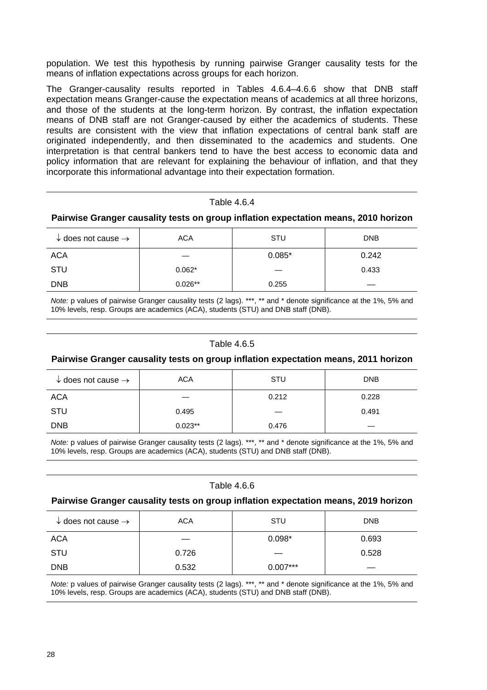population. We test this hypothesis by running pairwise Granger causality tests for the means of inflation expectations across groups for each horizon.

The Granger-causality results reported in Tables 4.6.4–4.6.6 show that DNB staff expectation means Granger-cause the expectation means of academics at all three horizons, and those of the students at the long-term horizon. By contrast, the inflation expectation means of DNB staff are not Granger-caused by either the academics of students. These results are consistent with the view that inflation expectations of central bank staff are originated independently, and then disseminated to the academics and students. One interpretation is that central bankers tend to have the best access to economic data and policy information that are relevant for explaining the behaviour of inflation, and that they incorporate this informational advantage into their expectation formation.

#### Table 4.6.4

#### **Pairwise Granger causality tests on group inflation expectation means, 2010 horizon**

| $\downarrow$ does not cause $\rightarrow$ | <b>ACA</b> | STU      | <b>DNB</b> |
|-------------------------------------------|------------|----------|------------|
| <b>ACA</b>                                |            | $0.085*$ | 0.242      |
| STU                                       | $0.062*$   |          | 0.433      |
| <b>DNB</b>                                | $0.026**$  | 0.255    |            |

*Note:* p values of pairwise Granger causality tests (2 lags). \*\*\*, \*\* and \* denote significance at the 1%, 5% and 10% levels, resp. Groups are academics (ACA), students (STU) and DNB staff (DNB).

#### Table 4.6.5

#### **Pairwise Granger causality tests on group inflation expectation means, 2011 horizon**

| $\downarrow$ does not cause $\rightarrow$ | <b>ACA</b> | STU   | <b>DNB</b> |
|-------------------------------------------|------------|-------|------------|
| <b>ACA</b>                                |            | 0.212 | 0.228      |
| <b>STU</b>                                | 0.495      |       | 0.491      |
| <b>DNB</b>                                | $0.023**$  | 0.476 |            |

*Note:* p values of pairwise Granger causality tests (2 lags). \*\*\*, \*\* and \* denote significance at the 1%, 5% and 10% levels, resp. Groups are academics (ACA), students (STU) and DNB staff (DNB).

| Table 4.6.6 |  |  |
|-------------|--|--|
|             |  |  |

#### **Pairwise Granger causality tests on group inflation expectation means, 2019 horizon**

| $\downarrow$ does not cause $\rightarrow$ | <b>ACA</b> | STU        | <b>DNB</b> |
|-------------------------------------------|------------|------------|------------|
| <b>ACA</b>                                |            | $0.098*$   | 0.693      |
| STU                                       | 0.726      |            | 0.528      |
| <b>DNB</b>                                | 0.532      | $0.007***$ |            |

*Note:* p values of pairwise Granger causality tests (2 lags). \*\*\*, \*\* and \* denote significance at the 1%, 5% and 10% levels, resp. Groups are academics (ACA), students (STU) and DNB staff (DNB).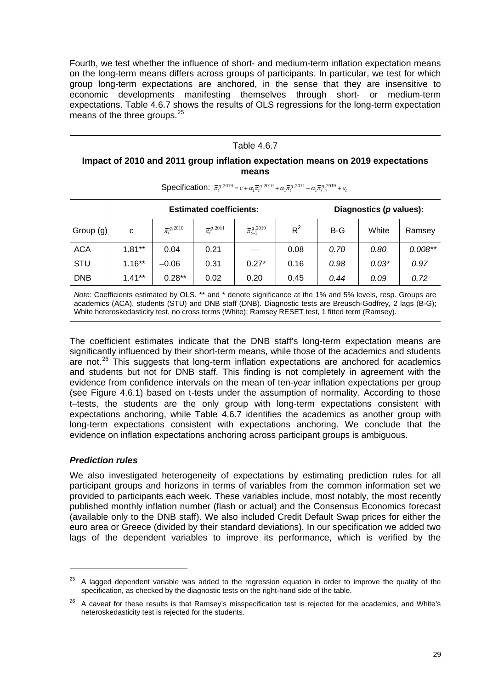Fourth, we test whether the influence of short- and medium-term inflation expectation means on the long-term means differs across groups of participants. In particular, we test for which group long-term expectations are anchored, in the sense that they are insensitive to economic developments manifesting themselves through short- or medium-term expectations. Table 4.6.7 shows the results of OLS regressions for the long-term expectation means of the three groups.<sup>25</sup>

#### Table 4.6.7

#### **Impact of 2010 and 2011 group inflation expectation means on 2019 expectations means**

|             |          |                               | <b>Estimated coefficients:</b> |                            | Diagnostics (p values): |      |         |           |
|-------------|----------|-------------------------------|--------------------------------|----------------------------|-------------------------|------|---------|-----------|
| Group $(g)$ | с        | $\overline{\pi}^{g,2010}_{t}$ | $\overline{\pi}^{g,2011}_{t}$  | $\bar{\pi}_{t-1}^{g,2019}$ | $R^2$                   | B-G  | White   | Ramsey    |
| <b>ACA</b>  | $1.81**$ | 0.04                          | 0.21                           |                            | 0.08                    | 0.70 | 0.80    | $0.008**$ |
| <b>STU</b>  | $1.16**$ | $-0.06$                       | 0.31                           | $0.27*$                    | 0.16                    | 0.98 | $0.03*$ | 0.97      |
| <b>DNB</b>  | $1.41**$ | $0.28**$                      | 0.02                           | 0.20                       | 0.45                    | 0.44 | 0.09    | 0.72      |

Specification:  $\bar{\pi}_{t}^{g,2019} = c + \alpha_1 \bar{\pi}_{t}^{g,2010} + \alpha_1 \bar{\pi}_{t}^{g,2011} + \alpha_1 \bar{\pi}_{t-1}^{g,2019} + \varepsilon_t$ 

*Note:* Coefficients estimated by OLS. \*\* and \* denote significance at the 1% and 5% levels, resp. Groups are academics (ACA), students (STU) and DNB staff (DNB). Diagnostic tests are Breusch-Godfrey, 2 lags (B-G); White heteroskedasticity test, no cross terms (White); Ramsey RESET test, 1 fitted term (Ramsey).

The coefficient estimates indicate that the DNB staff's long-term expectation means are significantly influenced by their short-term means, while those of the academics and students are not.<sup>26</sup> This suggests that long-term inflation expectations are anchored for academics and students but not for DNB staff. This finding is not completely in agreement with the evidence from confidence intervals on the mean of ten-year inflation expectations per group (see Figure 4.6.1) based on t-tests under the assumption of normality. According to those t-tests, the students are the only group with long-term expectations consistent with expectations anchoring, while Table 4.6.7 identifies the academics as another group with long-term expectations consistent with expectations anchoring. We conclude that the evidence on inflation expectations anchoring across participant groups is ambiguous.

#### *Prediction rules*

We also investigated heterogeneity of expectations by estimating prediction rules for all participant groups and horizons in terms of variables from the common information set we provided to participants each week. These variables include, most notably, the most recently published monthly inflation number (flash or actual) and the Consensus Economics forecast (available only to the DNB staff). We also included Credit Default Swap prices for either the euro area or Greece (divided by their standard deviations). In our specification we added two lags of the dependent variables to improve its performance, which is verified by the

<span id="page-32-0"></span> $25$  A lagged dependent variable was added to the regression equation in order to improve the quality of the specification, as checked by the diagnostic tests on the right-hand side of the table.

<span id="page-32-1"></span> $26$  A caveat for these results is that Ramsey's misspecification test is rejected for the academics, and White's heteroskedasticity test is rejected for the students.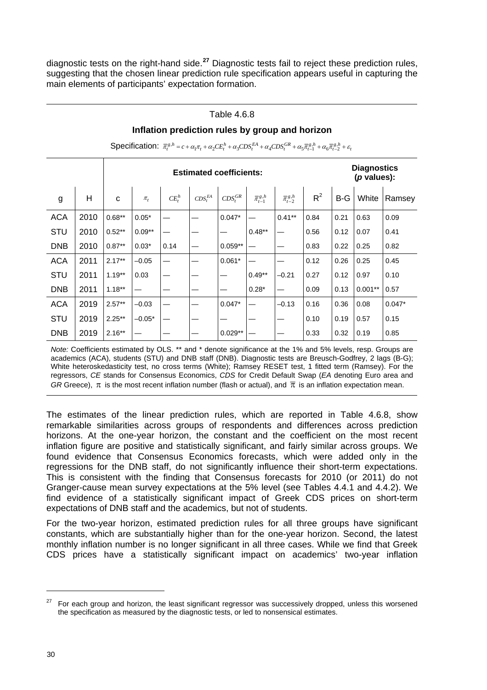diagnostic tests on the right-hand side.**[27](#page-33-0)** Diagnostic tests fail to reject these prediction rules, suggesting that the chosen linear prediction rule specification appears useful in capturing the main elements of participants' expectation formation.

#### Table 4.6.8

#### **Inflation prediction rules by group and horizon**

|            |      |              | <b>Estimated coefficients:</b> |          |              |              |                              |                              |       |       | <b>Diagnostics</b><br>(p values): |          |  |
|------------|------|--------------|--------------------------------|----------|--------------|--------------|------------------------------|------------------------------|-------|-------|-----------------------------------|----------|--|
| g          | H    | $\mathbf{C}$ | $\pi_t$                        | $CE_t^h$ | $CDS_t^{EA}$ | $CDS_t^{GR}$ | $\overline{\pi}_{t-1}^{g,h}$ | $\overline{\pi}_{t-2}^{g,h}$ | $R^2$ | $B-G$ | White                             | Ramsey   |  |
| <b>ACA</b> | 2010 | $0.68**$     | $0.05*$                        |          |              | $0.047*$     |                              | $0.41***$                    | 0.84  | 0.21  | 0.63                              | 0.09     |  |
| <b>STU</b> | 2010 | $0.52**$     | $0.09**$                       |          |              |              | $0.48**$                     |                              | 0.56  | 0.12  | 0.07                              | 0.41     |  |
| <b>DNB</b> | 2010 | $0.87**$     | $0.03*$                        | 0.14     |              | $0.059**$    |                              |                              | 0.83  | 0.22  | 0.25                              | 0.82     |  |
| <b>ACA</b> | 2011 | $2.17**$     | $-0.05$                        |          |              | $0.061*$     |                              |                              | 0.12  | 0.26  | 0.25                              | 0.45     |  |
| STU        | 2011 | $1.19**$     | 0.03                           |          |              |              | $0.49**$                     | $-0.21$                      | 0.27  | 0.12  | 0.97                              | 0.10     |  |
| <b>DNB</b> | 2011 | $1.18***$    |                                |          |              |              | $0.28*$                      |                              | 0.09  | 0.13  | $0.001**$                         | 0.57     |  |
| <b>ACA</b> | 2019 | $2.57**$     | $-0.03$                        |          |              | $0.047*$     |                              | $-0.13$                      | 0.16  | 0.36  | 0.08                              | $0.047*$ |  |
| <b>STU</b> | 2019 | $2.25**$     | $-0.05*$                       |          |              |              |                              |                              | 0.10  | 0.19  | 0.57                              | 0.15     |  |
| <b>DNB</b> | 2019 | $2.16***$    |                                |          |              | $0.029**$    |                              |                              | 0.33  | 0.32  | 0.19                              | 0.85     |  |

Specification:  $\overline{\pi}_{t}^{g,h} = c + \alpha_1 \pi_t + \alpha_2 C E_t^h + \alpha_3 C D S_t^{EA} + \alpha_4 C D S_t^{GR} + \alpha_5 \overline{\pi}_{t-1}^{g,h} + \alpha_6 \overline{\pi}_{t-2}^{g,h} + \varepsilon_t$ 

*Note:* Coefficients estimated by OLS. \*\* and \* denote significance at the 1% and 5% levels, resp. Groups are academics (ACA), students (STU) and DNB staff (DNB). Diagnostic tests are Breusch-Godfrey, 2 lags (B-G); White heteroskedasticity test, no cross terms (White); Ramsey RESET test, 1 fitted term (Ramsey). For the regressors, *CE* stands for Consensus Economics, *CDS* for Credit Default Swap (*EA* denoting Euro area and *GR* Greece),  $\pi$  is the most recent inflation number (flash or actual), and  $\bar{\pi}$  is an inflation expectation mean.

The estimates of the linear prediction rules, which are reported in Table 4.6.8, show remarkable similarities across groups of respondents and differences across prediction horizons. At the one-year horizon, the constant and the coefficient on the most recent inflation figure are positive and statistically significant, and fairly similar across groups. We found evidence that Consensus Economics forecasts, which were added only in the regressions for the DNB staff, do not significantly influence their short-term expectations. This is consistent with the finding that Consensus forecasts for 2010 (or 2011) do not Granger-cause mean survey expectations at the 5% level (see Tables 4.4.1 and 4.4.2). We find evidence of a statistically significant impact of Greek CDS prices on short-term expectations of DNB staff and the academics, but not of students.

For the two-year horizon, estimated prediction rules for all three groups have significant constants, which are substantially higher than for the one-year horizon. Second, the latest monthly inflation number is no longer significant in all three cases. While we find that Greek CDS prices have a statistically significant impact on academics' two-year inflation

<span id="page-33-0"></span> $27$  For each group and horizon, the least significant regressor was successively dropped, unless this worsened the specification as measured by the diagnostic tests, or led to nonsensical estimates.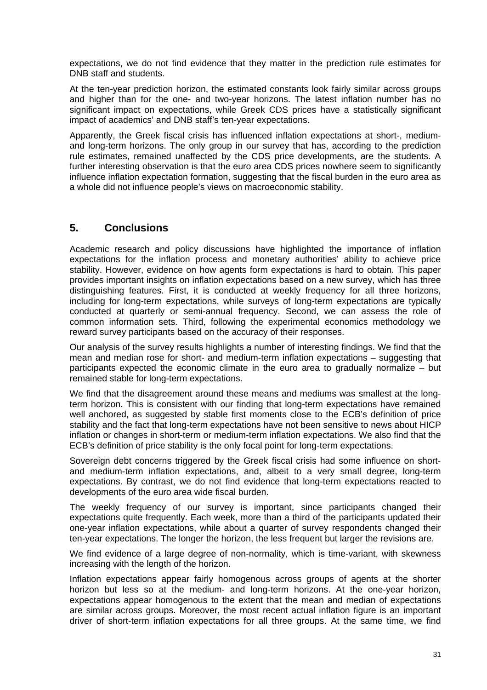expectations, we do not find evidence that they matter in the prediction rule estimates for DNB staff and students.

At the ten-year prediction horizon, the estimated constants look fairly similar across groups and higher than for the one- and two-year horizons. The latest inflation number has no significant impact on expectations, while Greek CDS prices have a statistically significant impact of academics' and DNB staff's ten-year expectations.

Apparently, the Greek fiscal crisis has influenced inflation expectations at short-, mediumand long-term horizons. The only group in our survey that has, according to the prediction rule estimates, remained unaffected by the CDS price developments, are the students. A further interesting observation is that the euro area CDS prices nowhere seem to significantly influence inflation expectation formation, suggesting that the fiscal burden in the euro area as a whole did not influence people's views on macroeconomic stability.

# **5. Conclusions**

Academic research and policy discussions have highlighted the importance of inflation expectations for the inflation process and monetary authorities' ability to achieve price stability. However, evidence on how agents form expectations is hard to obtain. This paper provides important insights on inflation expectations based on a new survey, which has three distinguishing features*.* First, it is conducted at weekly frequency for all three horizons, including for long-term expectations, while surveys of long-term expectations are typically conducted at quarterly or semi-annual frequency. Second, we can assess the role of common information sets. Third, following the experimental economics methodology we reward survey participants based on the accuracy of their responses.

Our analysis of the survey results highlights a number of interesting findings. We find that the mean and median rose for short- and medium-term inflation expectations – suggesting that participants expected the economic climate in the euro area to gradually normalize – but remained stable for long-term expectations.

We find that the disagreement around these means and mediums was smallest at the longterm horizon. This is consistent with our finding that long-term expectations have remained well anchored, as suggested by stable first moments close to the ECB's definition of price stability and the fact that long-term expectations have not been sensitive to news about HICP inflation or changes in short-term or medium-term inflation expectations. We also find that the ECB's definition of price stability is the only focal point for long-term expectations.

Sovereign debt concerns triggered by the Greek fiscal crisis had some influence on shortand medium-term inflation expectations, and, albeit to a very small degree, long-term expectations. By contrast, we do not find evidence that long-term expectations reacted to developments of the euro area wide fiscal burden.

The weekly frequency of our survey is important, since participants changed their expectations quite frequently. Each week, more than a third of the participants updated their one-year inflation expectations, while about a quarter of survey respondents changed their ten-year expectations. The longer the horizon, the less frequent but larger the revisions are.

We find evidence of a large degree of non-normality, which is time-variant, with skewness increasing with the length of the horizon.

Inflation expectations appear fairly homogenous across groups of agents at the shorter horizon but less so at the medium- and long-term horizons. At the one-year horizon, expectations appear homogenous to the extent that the mean and median of expectations are similar across groups. Moreover, the most recent actual inflation figure is an important driver of short-term inflation expectations for all three groups. At the same time, we find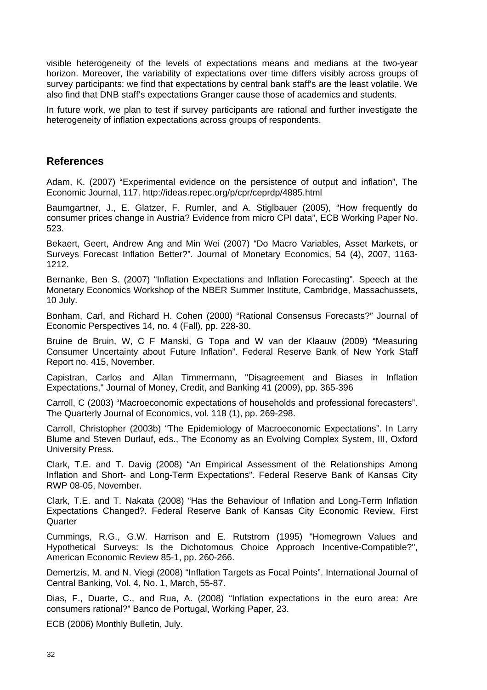visible heterogeneity of the levels of expectations means and medians at the two-year horizon. Moreover, the variability of expectations over time differs visibly across groups of survey participants: we find that expectations by central bank staff's are the least volatile. We also find that DNB staff's expectations Granger cause those of academics and students.

In future work, we plan to test if survey participants are rational and further investigate the heterogeneity of inflation expectations across groups of respondents.

#### **References**

Adam, K. (2007) "Experimental evidence on the persistence of output and inflation", The Economic Journal, 117. http://ideas.repec.org/p/cpr/ceprdp/4885.html

Baumgartner, J., E. Glatzer, F. Rumler, and A. Stiglbauer (2005), "How frequently do consumer prices change in Austria? Evidence from micro CPI data", ECB Working Paper No. 523.

Bekaert, Geert, Andrew Ang and Min Wei (2007) "Do Macro Variables, Asset Markets, or Surveys Forecast Inflation Better?". Journal of Monetary Economics, 54 (4), 2007, 1163- 1212.

Bernanke, Ben S. (2007) "Inflation Expectations and Inflation Forecasting". Speech at the Monetary Economics Workshop of the NBER Summer Institute, Cambridge, Massachussets, 10 July.

Bonham, Carl, and Richard H. Cohen (2000) "Rational Consensus Forecasts?" Journal of Economic Perspectives 14, no. 4 (Fall), pp. 228-30.

Bruine de Bruin, W, C F Manski, G Topa and W van der Klaauw (2009) "Measuring Consumer Uncertainty about Future Inflation". Federal Reserve Bank of New York Staff Report no. 415, November.

Capistran, Carlos and Allan Timmermann, "Disagreement and Biases in Inflation Expectations," Journal of Money, Credit, and Banking 41 (2009), pp. 365-396

Carroll, C (2003) "Macroeconomic expectations of households and professional forecasters". The Quarterly Journal of Economics, vol. 118 (1), pp. 269-298.

Carroll, Christopher (2003b) "The Epidemiology of Macroeconomic Expectations". In Larry Blume and Steven Durlauf, eds., The Economy as an Evolving Complex System, III, Oxford University Press.

Clark, T.E. and T. Davig (2008) "An Empirical Assessment of the Relationships Among Inflation and Short- and Long-Term Expectations". Federal Reserve Bank of Kansas City RWP 08-05, November.

Clark, T.E. and T. Nakata (2008) "Has the Behaviour of Inflation and Long-Term Inflation Expectations Changed?. Federal Reserve Bank of Kansas City Economic Review, First **Quarter** 

Cummings, R.G., G.W. Harrison and E. Rutstrom (1995) "Homegrown Values and Hypothetical Surveys: Is the Dichotomous Choice Approach Incentive-Compatible?", American Economic Review 85-1, pp. 260-266.

Demertzis, M. and N. Viegi (2008) "Inflation Targets as Focal Points". International Journal of Central Banking, Vol. 4, No. 1, March, 55-87.

Dias, F., Duarte, C., and Rua, A. (2008) "Inflation expectations in the euro area: Are consumers rational?" Banco de Portugal, Working Paper, 23.

ECB (2006) Monthly Bulletin, July.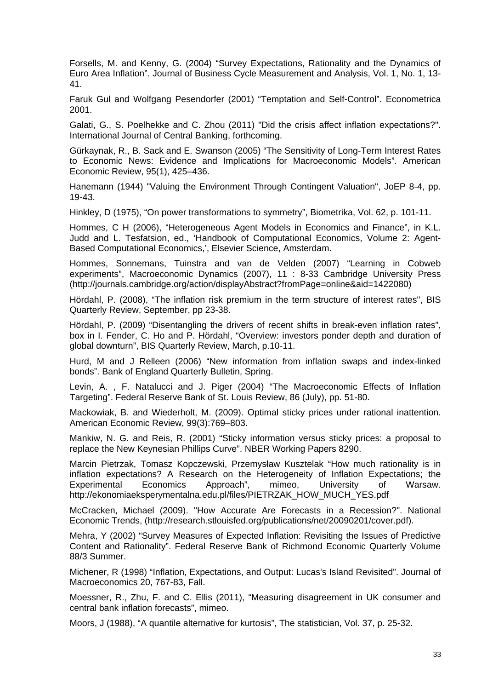Forsells, M. and Kenny, G. (2004) "Survey Expectations, Rationality and the Dynamics of Euro Area Inflation". Journal of Business Cycle Measurement and Analysis, Vol. 1, No. 1, 13- 41.

Faruk Gul and Wolfgang Pesendorfer (2001) "Temptation and Self-Control". Econometrica 2001.

Galati, G., S. Poelhekke and C. Zhou (2011) "Did the crisis affect inflation expectations?". International Journal of Central Banking, forthcoming.

Gürkaynak, R., B. Sack and E. Swanson (2005) "The Sensitivity of Long-Term Interest Rates to Economic News: Evidence and Implications for Macroeconomic Models". American Economic Review, 95(1), 425–436.

Hanemann (1944) "Valuing the Environment Through Contingent Valuation", JoEP 8-4, pp. 19-43.

Hinkley, D (1975), "On power transformations to symmetry", Biometrika, Vol. 62, p. 101-11.

Hommes, C H (2006), "Heterogeneous Agent Models in Economics and Finance", in K.L. Judd and L. Tesfatsion, ed., 'Handbook of Computational Economics, Volume 2: Agent-Based Computational Economics,', Elsevier Science, Amsterdam.

Hommes, Sonnemans, Tuinstra and van de Velden (2007) "Learning in Cobweb experiments", Macroeconomic Dynamics (2007), 11 : 8-33 Cambridge University Press (http://journals.cambridge.org/action/displayAbstract?fromPage=online&aid=1422080)

Hördahl, P. (2008), ["The inflation risk premium in the term structure of interest rates"](http://www.bis.org/publ/qtrpdf/r_qt0809e.htm), BIS Quarterly Review, September, pp 23-38.

Hördahl, P. (2009) "Disentangling the drivers of recent shifts in break-even inflation rates", box in I. Fender, C. Ho and P. Hördahl, "Overview: investors ponder depth and duration of global downturn", BIS Quarterly Review, March, p.10-11.

Hurd, M and J Relleen (2006) "New information from inflation swaps and index-linked bonds". Bank of England Quarterly Bulletin, Spring.

Levin, A. , F. Natalucci and J. Piger (2004) "The Macroeconomic Effects of Inflation Targeting". Federal Reserve Bank of St. Louis Review, 86 (July), pp. 51-80.

Mackowiak, B. and Wiederholt, M. (2009). Optimal sticky prices under rational inattention. American Economic Review, 99(3):769–803.

Mankiw, N. G. and Reis, R. (2001) "Sticky information versus sticky prices: a proposal to replace the New Keynesian Phillips Curve". NBER Working Papers 8290.

Marcin Pietrzak, Tomasz Kopczewski, Przemysław Kusztelak "How much rationality is in inflation expectations? A Research on the Heterogeneity of Inflation Expectations; the Experimental Economics Approach", mimeo, University of Warsaw. [http://ekonomiaeksperymentalna.edu.pl/files/PIETRZAK\\_HOW\\_MUCH\\_YES.pdf](http://ekonomiaeksperymentalna.edu.pl/files/PIETRZAK_HOW_MUCH_YES.pdf)

McCracken, Michael (2009). "How Accurate Are Forecasts in a Recession?". National Economic Trends, [\(http://research.stlouisfed.org/publications/net/20090201/cover.pdf\)](http://research.stlouisfed.org/publications/net/20090201/cover.pdf).

Mehra, Y (2002) "Survey Measures of Expected Inflation: Revisiting the Issues of Predictive Content and Rationality". Federal Reserve Bank of Richmond Economic Quarterly Volume 88/3 Summer.

Michener, R (1998) "Inflation, Expectations, and Output: Lucas's Island Revisited". Journal of Macroeconomics 20, 767-83, Fall.

Moessner, R., Zhu, F. and C. Ellis (2011), "Measuring disagreement in UK consumer and central bank inflation forecasts", mimeo.

Moors, J (1988), "A quantile alternative for kurtosis", The statistician, Vol. 37, p. 25-32.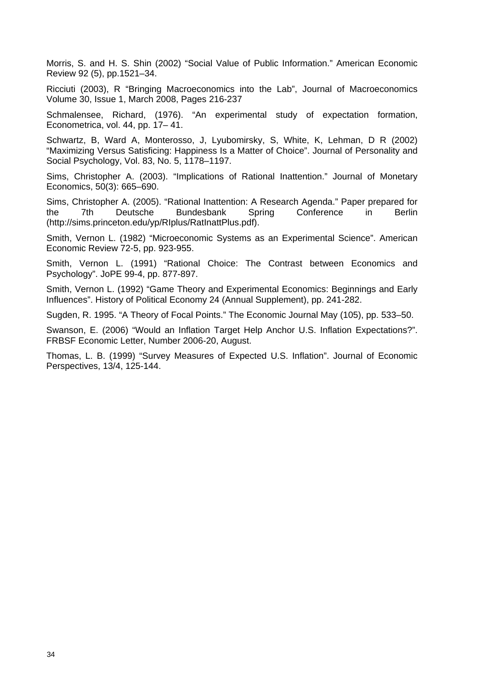Morris, S. and H. S. Shin (2002) "Social Value of Public Information." American Economic Review 92 (5), pp.1521–34.

Ricciuti (2003), R "Bringing Macroeconomics into the Lab", Journal of Macroeconomics Volume 30, Issue 1, March 2008, Pages 216-237

Schmalensee, Richard, (1976). "An experimental study of expectation formation, Econometrica, vol. 44, pp. 17– 41.

Schwartz, B, Ward A, Monterosso, J, Lyubomirsky, S, White, K, Lehman, D R (2002) "Maximizing Versus Satisficing: Happiness Is a Matter of Choice". Journal of Personality and Social Psychology, Vol. 83, No. 5, 1178–1197.

Sims, Christopher A. (2003). "Implications of Rational Inattention." Journal of Monetary Economics, 50(3): 665–690.

Sims, Christopher A. (2005). "Rational Inattention: A Research Agenda." Paper prepared for the 7th Deutsche Bundesbank Spring Conference in Berlin [\(http://sims.princeton.edu/yp/RIplus/RatInattPlus.pdf](http://sims.princeton.edu/yp/RIplus/RatInattPlus.pdf)).

Smith, Vernon L. (1982) "Microeconomic Systems as an Experimental Science". American Economic Review 72-5, pp. 923-955.

Smith, Vernon L. (1991) "Rational Choice: The Contrast between Economics and Psychology". JoPE 99-4, pp. 877-897.

Smith, Vernon L. (1992) "Game Theory and Experimental Economics: Beginnings and Early Influences". History of Political Economy 24 (Annual Supplement), pp. 241-282.

Sugden, R. 1995. "A Theory of Focal Points." The Economic Journal May (105), pp. 533–50.

Swanson, E. (2006) "Would an Inflation Target Help Anchor U.S. Inflation Expectations?". FRBSF Economic Letter, Number 2006-20, August.

Thomas, L. B. (1999) "Survey Measures of Expected U.S. Inflation". Journal of Economic Perspectives, 13/4, 125-144.